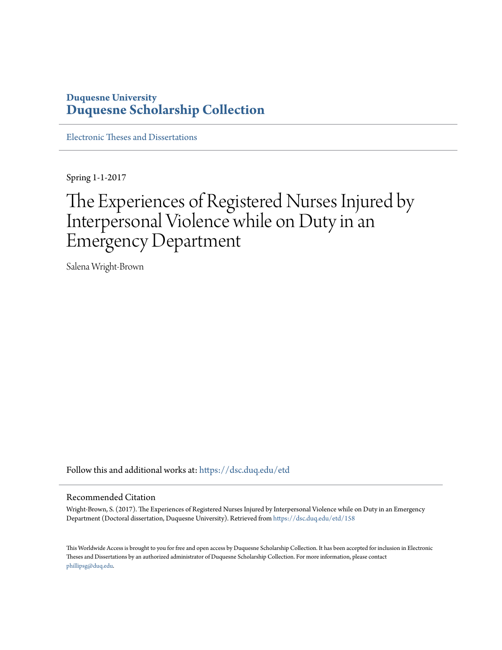### **Duquesne University [Duquesne Scholarship Collection](https://dsc.duq.edu?utm_source=dsc.duq.edu%2Fetd%2F158&utm_medium=PDF&utm_campaign=PDFCoverPages)**

[Electronic Theses and Dissertations](https://dsc.duq.edu/etd?utm_source=dsc.duq.edu%2Fetd%2F158&utm_medium=PDF&utm_campaign=PDFCoverPages)

Spring 1-1-2017

# The Experiences of Registered Nurses Injured by Interpersonal Violence while on Duty in an Emergency Department

Salena Wright-Brown

Follow this and additional works at: [https://dsc.duq.edu/etd](https://dsc.duq.edu/etd?utm_source=dsc.duq.edu%2Fetd%2F158&utm_medium=PDF&utm_campaign=PDFCoverPages)

#### Recommended Citation

Wright-Brown, S. (2017). The Experiences of Registered Nurses Injured by Interpersonal Violence while on Duty in an Emergency Department (Doctoral dissertation, Duquesne University). Retrieved from [https://dsc.duq.edu/etd/158](https://dsc.duq.edu/etd/158?utm_source=dsc.duq.edu%2Fetd%2F158&utm_medium=PDF&utm_campaign=PDFCoverPages)

This Worldwide Access is brought to you for free and open access by Duquesne Scholarship Collection. It has been accepted for inclusion in Electronic Theses and Dissertations by an authorized administrator of Duquesne Scholarship Collection. For more information, please contact [phillipsg@duq.edu.](mailto:phillipsg@duq.edu)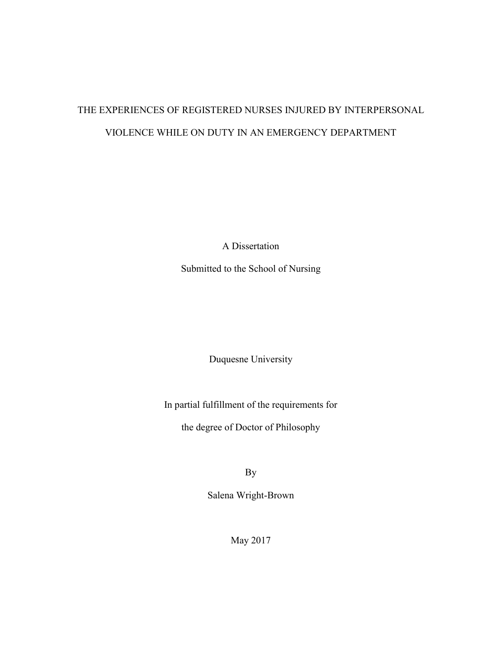# THE EXPERIENCES OF REGISTERED NURSES INJURED BY INTERPERSONAL VIOLENCE WHILE ON DUTY IN AN EMERGENCY DEPARTMENT

A Dissertation

Submitted to the School of Nursing

Duquesne University

In partial fulfillment of the requirements for

the degree of Doctor of Philosophy

By

Salena Wright-Brown

May 2017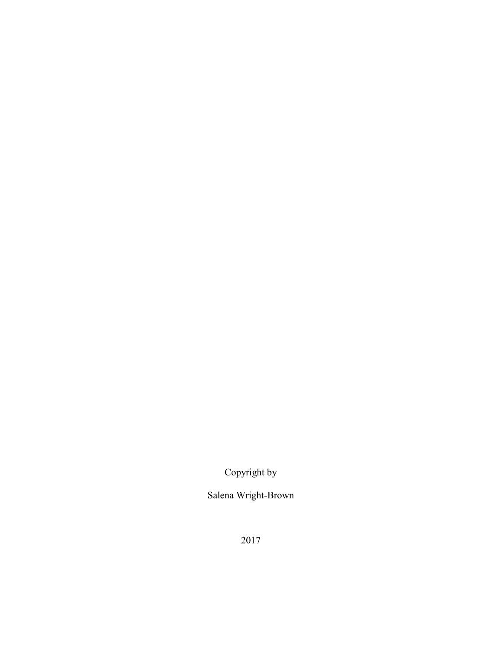Copyright by

Salena Wright-Brown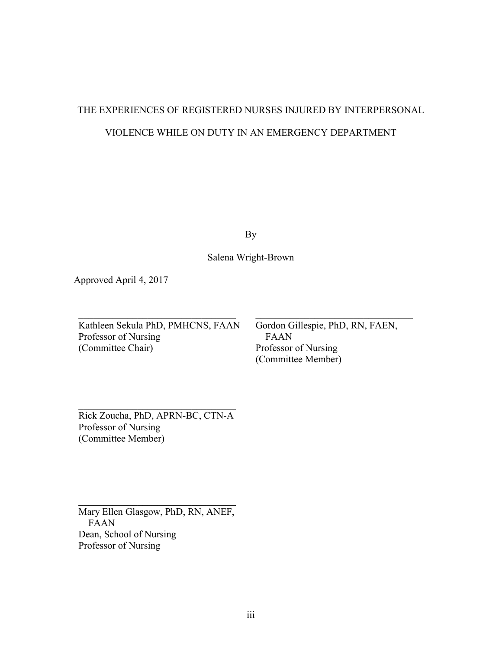# THE EXPERIENCES OF REGISTERED NURSES INJURED BY INTERPERSONAL VIOLENCE WHILE ON DUTY IN AN EMERGENCY DEPARTMENT

By

Salena Wright-Brown

Approved April 4, 2017

Kathleen Sekula PhD, PMHCNS, FAAN Professor of Nursing (Committee Chair)

Gordon Gillespie, PhD, RN, FAEN, FAAN Professor of Nursing (Committee Member)

Rick Zoucha, PhD, APRN-BC, CTN-A Professor of Nursing (Committee Member)

Mary Ellen Glasgow, PhD, RN, ANEF, FAAN Dean, School of Nursing Professor of Nursing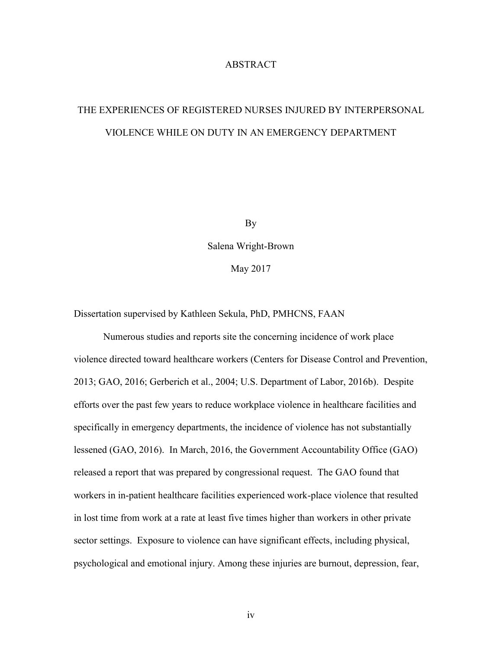#### ABSTRACT

# THE EXPERIENCES OF REGISTERED NURSES INJURED BY INTERPERSONAL VIOLENCE WHILE ON DUTY IN AN EMERGENCY DEPARTMENT

By

Salena Wright-Brown May 2017

Dissertation supervised by Kathleen Sekula, PhD, PMHCNS, FAAN

Numerous studies and reports site the concerning incidence of work place violence directed toward healthcare workers (Centers for Disease Control and Prevention, 2013; GAO, 2016; Gerberich et al., 2004; U.S. Department of Labor, 2016b). Despite efforts over the past few years to reduce workplace violence in healthcare facilities and specifically in emergency departments, the incidence of violence has not substantially lessened (GAO, 2016). In March, 2016, the Government Accountability Office (GAO) released a report that was prepared by congressional request. The GAO found that workers in in-patient healthcare facilities experienced work-place violence that resulted in lost time from work at a rate at least five times higher than workers in other private sector settings. Exposure to violence can have significant effects, including physical, psychological and emotional injury. Among these injuries are burnout, depression, fear,

iv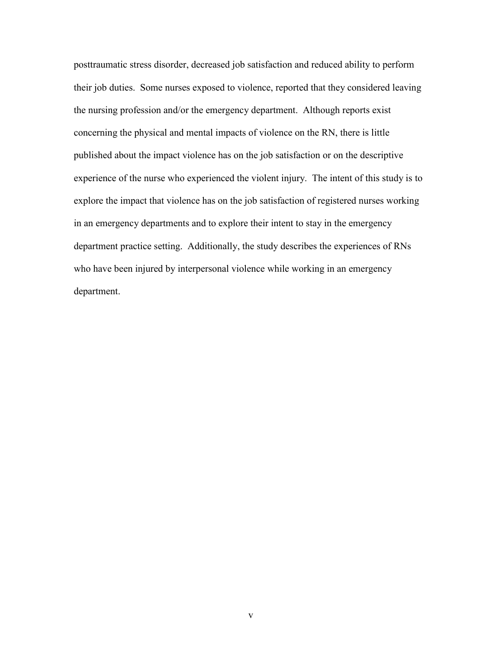posttraumatic stress disorder, decreased job satisfaction and reduced ability to perform their job duties. Some nurses exposed to violence, reported that they considered leaving the nursing profession and/or the emergency department. Although reports exist concerning the physical and mental impacts of violence on the RN, there is little published about the impact violence has on the job satisfaction or on the descriptive experience of the nurse who experienced the violent injury. The intent of this study is to explore the impact that violence has on the job satisfaction of registered nurses working in an emergency departments and to explore their intent to stay in the emergency department practice setting. Additionally, the study describes the experiences of RNs who have been injured by interpersonal violence while working in an emergency department.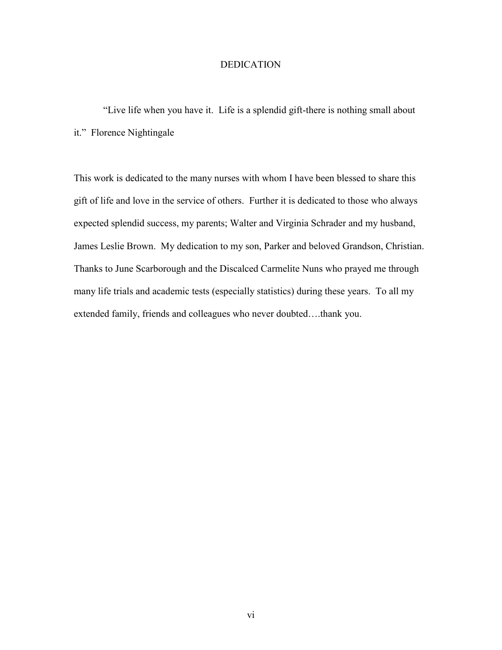#### **DEDICATION**

"Live life when you have it. Life is a splendid gift-there is nothing small about it." Florence Nightingale

This work is dedicated to the many nurses with whom I have been blessed to share this gift of life and love in the service of others. Further it is dedicated to those who always expected splendid success, my parents; Walter and Virginia Schrader and my husband, James Leslie Brown. My dedication to my son, Parker and beloved Grandson, Christian. Thanks to June Scarborough and the Discalced Carmelite Nuns who prayed me through many life trials and academic tests (especially statistics) during these years. To all my extended family, friends and colleagues who never doubted….thank you.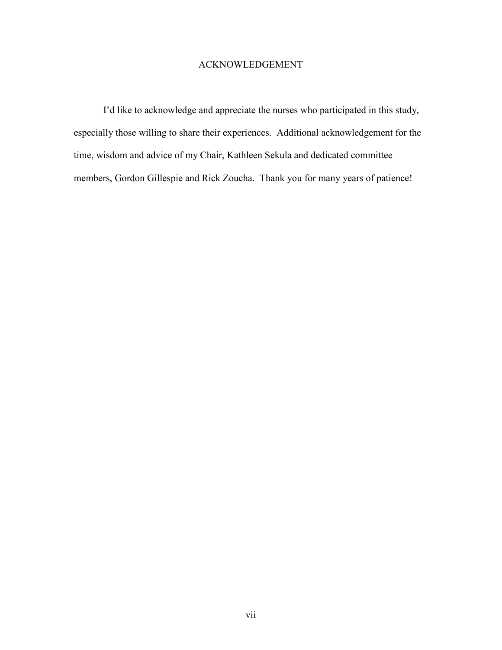#### ACKNOWLEDGEMENT

I'd like to acknowledge and appreciate the nurses who participated in this study, especially those willing to share their experiences. Additional acknowledgement for the time, wisdom and advice of my Chair, Kathleen Sekula and dedicated committee members, Gordon Gillespie and Rick Zoucha. Thank you for many years of patience!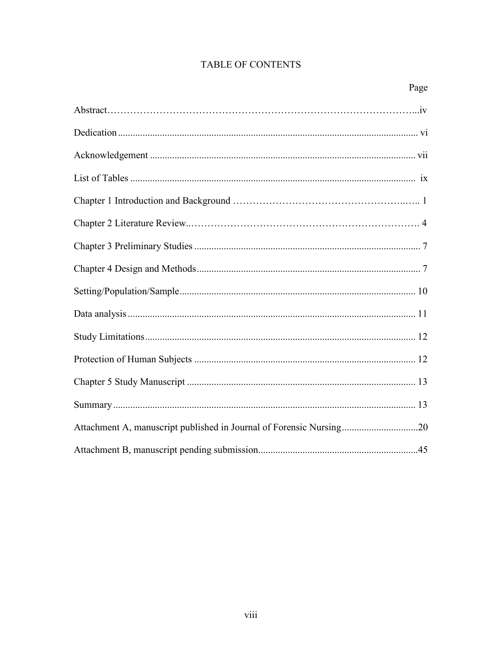### **TABLE OF CONTENTS**

| Attachment A, manuscript published in Journal of Forensic Nursing20 |
|---------------------------------------------------------------------|
|                                                                     |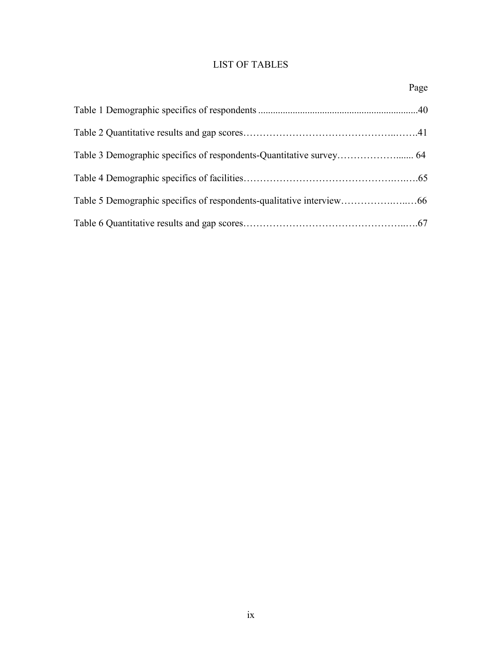### LIST OF TABLES

| Page |
|------|
|      |
|      |
|      |
|      |
|      |
|      |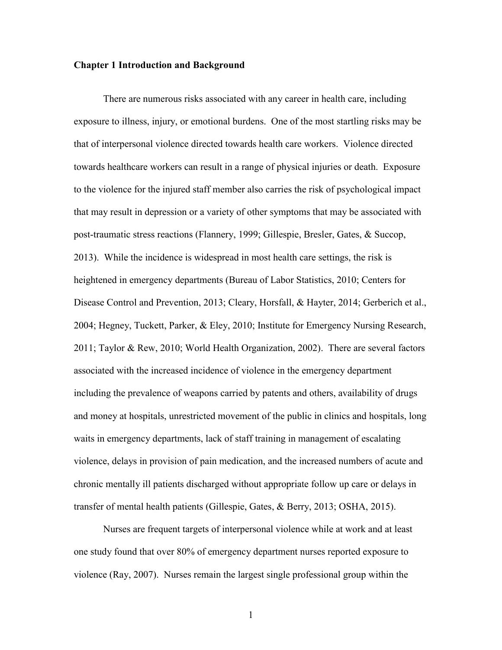#### **Chapter 1 Introduction and Background**

There are numerous risks associated with any career in health care, including exposure to illness, injury, or emotional burdens. One of the most startling risks may be that of interpersonal violence directed towards health care workers. Violence directed towards healthcare workers can result in a range of physical injuries or death. Exposure to the violence for the injured staff member also carries the risk of psychological impact that may result in depression or a variety of other symptoms that may be associated with post-traumatic stress reactions (Flannery, 1999; Gillespie, Bresler, Gates, & Succop, 2013). While the incidence is widespread in most health care settings, the risk is heightened in emergency departments (Bureau of Labor Statistics, 2010; Centers for Disease Control and Prevention, 2013; Cleary, Horsfall, & Hayter, 2014; Gerberich et al., 2004; Hegney, Tuckett, Parker, & Eley, 2010; Institute for Emergency Nursing Research, 2011; Taylor & Rew, 2010; World Health Organization, 2002). There are several factors associated with the increased incidence of violence in the emergency department including the prevalence of weapons carried by patents and others, availability of drugs and money at hospitals, unrestricted movement of the public in clinics and hospitals, long waits in emergency departments, lack of staff training in management of escalating violence, delays in provision of pain medication, and the increased numbers of acute and chronic mentally ill patients discharged without appropriate follow up care or delays in transfer of mental health patients (Gillespie, Gates, & Berry, 2013; OSHA, 2015).

Nurses are frequent targets of interpersonal violence while at work and at least one study found that over 80% of emergency department nurses reported exposure to violence (Ray, 2007). Nurses remain the largest single professional group within the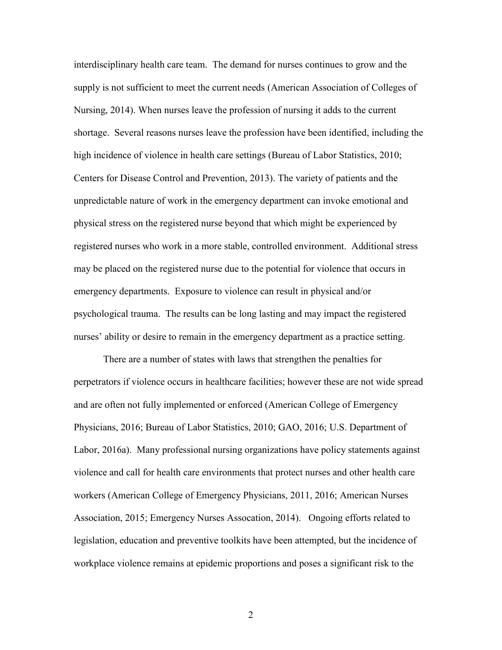interdisciplinary health care team. The demand for nurses continues to grow and the supply is not sufficient to meet the current needs (American Association of Colleges of Nursing, 2014). When nurses leave the profession of nursing it adds to the current shortage. Several reasons nurses leave the profession have been identified, including the high incidence of violence in health care settings (Bureau of Labor Statistics, 2010; Centers for Disease Control and Prevention, 2013). The variety of patients and the unpredictable nature of work in the emergency department can invoke emotional and physical stress on the registered nurse beyond that which might be experienced by registered nurses who work in a more stable, controlled environment. Additional stress may be placed on the registered nurse due to the potential for violence that occurs in emergency departments. Exposure to violence can result in physical and/or psychological trauma. The results can be long lasting and may impact the registered nurses' ability or desire to remain in the emergency department as a practice setting.

There are a number of states with laws that strengthen the penalties for perpetrators if violence occurs in healthcare facilities; however these are not wide spread and are often not fully implemented or enforced (American College of Emergency Physicians, 2016; Bureau of Labor Statistics, 2010; GAO, 2016; U.S. Department of Labor, 2016a). Many professional nursing organizations have policy statements against violence and call for health care environments that protect nurses and other health care workers (American College of Emergency Physicians, 2011, 2016; American Nurses Association, 2015; Emergency Nurses Assocation, 2014). Ongoing efforts related to legislation, education and preventive toolkits have been attempted, but the incidence of workplace violence remains at epidemic proportions and poses a significant risk to the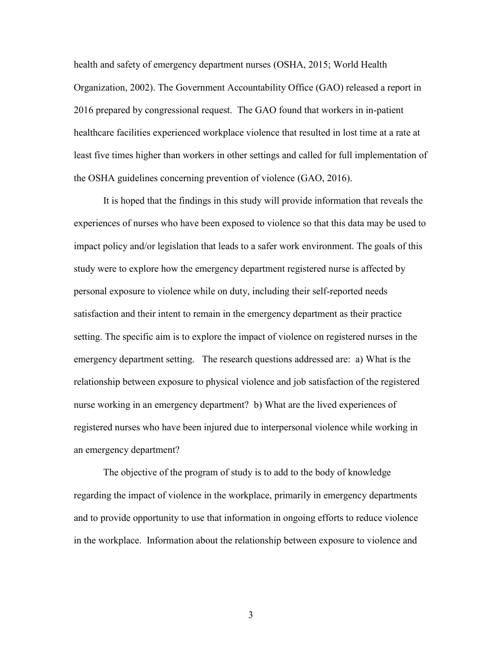health and safety of emergency department nurses (OSHA, 2015; World Health Organization, 2002). The Government Accountability Office (GAO) released a report in 2016 prepared by congressional request. The GAO found that workers in in-patient healthcare facilities experienced workplace violence that resulted in lost time at a rate at least five times higher than workers in other settings and called for full implementation of the OSHA guidelines concerning prevention of violence (GAO, 2016).

It is hoped that the findings in this study will provide information that reveals the experiences of nurses who have been exposed to violence so that this data may be used to impact policy and/or legislation that leads to a safer work environment. The goals of this study were to explore how the emergency department registered nurse is affected by personal exposure to violence while on duty, including their self-reported needs satisfaction and their intent to remain in the emergency department as their practice setting. The specific aim is to explore the impact of violence on registered nurses in the emergency department setting. The research questions addressed are: a) What is the relationship between exposure to physical violence and job satisfaction of the registered nurse working in an emergency department? b) What are the lived experiences of registered nurses who have been injured due to interpersonal violence while working in an emergency department?

The objective of the program of study is to add to the body of knowledge regarding the impact of violence in the workplace, primarily in emergency departments and to provide opportunity to use that information in ongoing efforts to reduce violence in the workplace. Information about the relationship between exposure to violence and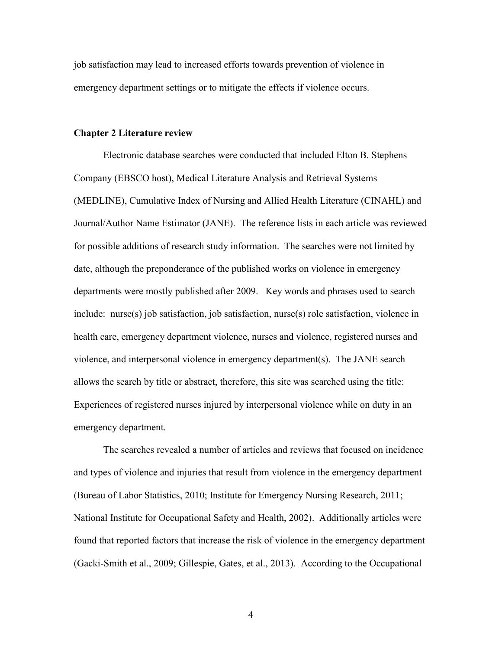job satisfaction may lead to increased efforts towards prevention of violence in emergency department settings or to mitigate the effects if violence occurs.

#### **Chapter 2 Literature review**

Electronic database searches were conducted that included Elton B. Stephens Company (EBSCO host), Medical Literature Analysis and Retrieval Systems (MEDLINE), Cumulative Index of Nursing and Allied Health Literature (CINAHL) and Journal/Author Name Estimator (JANE). The reference lists in each article was reviewed for possible additions of research study information. The searches were not limited by date, although the preponderance of the published works on violence in emergency departments were mostly published after 2009. Key words and phrases used to search include: nurse(s) job satisfaction, job satisfaction, nurse(s) role satisfaction, violence in health care, emergency department violence, nurses and violence, registered nurses and violence, and interpersonal violence in emergency department(s). The JANE search allows the search by title or abstract, therefore, this site was searched using the title: Experiences of registered nurses injured by interpersonal violence while on duty in an emergency department.

The searches revealed a number of articles and reviews that focused on incidence and types of violence and injuries that result from violence in the emergency department (Bureau of Labor Statistics, 2010; Institute for Emergency Nursing Research, 2011; National Institute for Occupational Safety and Health, 2002). Additionally articles were found that reported factors that increase the risk of violence in the emergency department (Gacki-Smith et al., 2009; Gillespie, Gates, et al., 2013). According to the Occupational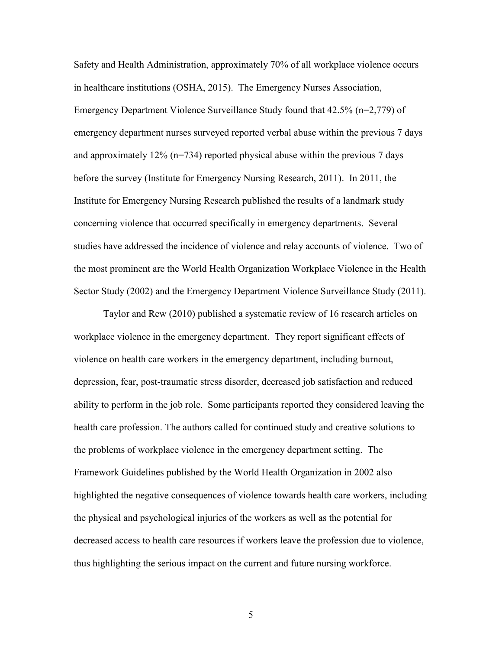Safety and Health Administration, approximately 70% of all workplace violence occurs in healthcare institutions (OSHA, 2015). The Emergency Nurses Association, Emergency Department Violence Surveillance Study found that 42.5% (n=2,779) of emergency department nurses surveyed reported verbal abuse within the previous 7 days and approximately  $12\%$  (n=734) reported physical abuse within the previous 7 days before the survey (Institute for Emergency Nursing Research, 2011). In 2011, the Institute for Emergency Nursing Research published the results of a landmark study concerning violence that occurred specifically in emergency departments. Several studies have addressed the incidence of violence and relay accounts of violence. Two of the most prominent are the World Health Organization Workplace Violence in the Health Sector Study (2002) and the Emergency Department Violence Surveillance Study (2011).

Taylor and Rew (2010) published a systematic review of 16 research articles on workplace violence in the emergency department. They report significant effects of violence on health care workers in the emergency department, including burnout, depression, fear, post-traumatic stress disorder, decreased job satisfaction and reduced ability to perform in the job role. Some participants reported they considered leaving the health care profession. The authors called for continued study and creative solutions to the problems of workplace violence in the emergency department setting. The Framework Guidelines published by the World Health Organization in 2002 also highlighted the negative consequences of violence towards health care workers, including the physical and psychological injuries of the workers as well as the potential for decreased access to health care resources if workers leave the profession due to violence, thus highlighting the serious impact on the current and future nursing workforce.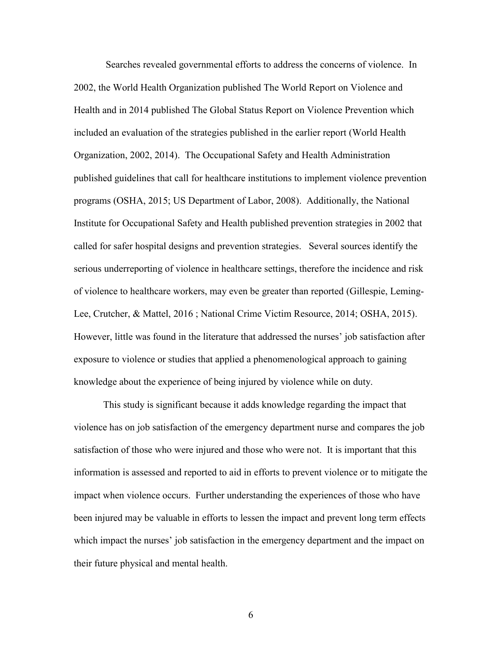Searches revealed governmental efforts to address the concerns of violence. In 2002, the World Health Organization published The World Report on Violence and Health and in 2014 published The Global Status Report on Violence Prevention which included an evaluation of the strategies published in the earlier report (World Health Organization, 2002, 2014). The Occupational Safety and Health Administration published guidelines that call for healthcare institutions to implement violence prevention programs (OSHA, 2015; US Department of Labor, 2008). Additionally, the National Institute for Occupational Safety and Health published prevention strategies in 2002 that called for safer hospital designs and prevention strategies. Several sources identify the serious underreporting of violence in healthcare settings, therefore the incidence and risk of violence to healthcare workers, may even be greater than reported (Gillespie, Leming-Lee, Crutcher, & Mattel, 2016 ; National Crime Victim Resource, 2014; OSHA, 2015). However, little was found in the literature that addressed the nurses' job satisfaction after exposure to violence or studies that applied a phenomenological approach to gaining knowledge about the experience of being injured by violence while on duty.

This study is significant because it adds knowledge regarding the impact that violence has on job satisfaction of the emergency department nurse and compares the job satisfaction of those who were injured and those who were not. It is important that this information is assessed and reported to aid in efforts to prevent violence or to mitigate the impact when violence occurs. Further understanding the experiences of those who have been injured may be valuable in efforts to lessen the impact and prevent long term effects which impact the nurses' job satisfaction in the emergency department and the impact on their future physical and mental health.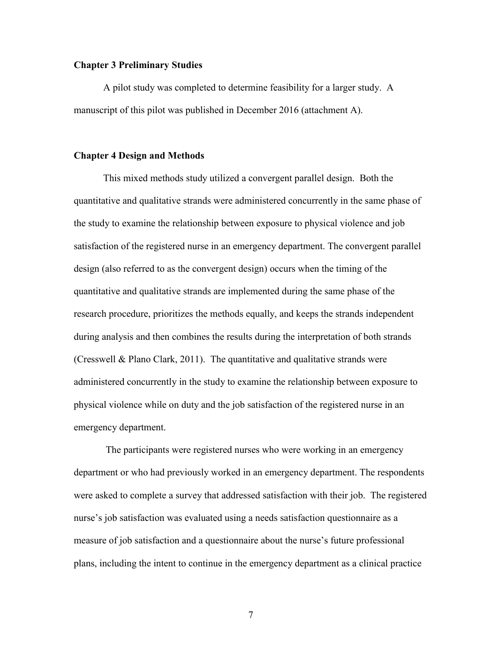#### <span id="page-16-0"></span>**Chapter 3 Preliminary Studies**

A pilot study was completed to determine feasibility for a larger study. A manuscript of this pilot was published in December 2016 (attachment A).

#### <span id="page-16-1"></span>**Chapter 4 Design and Methods**

This mixed methods study utilized a convergent parallel design. Both the quantitative and qualitative strands were administered concurrently in the same phase of the study to examine the relationship between exposure to physical violence and job satisfaction of the registered nurse in an emergency department. The convergent parallel design (also referred to as the convergent design) occurs when the timing of the quantitative and qualitative strands are implemented during the same phase of the research procedure, prioritizes the methods equally, and keeps the strands independent during analysis and then combines the results during the interpretation of both strands (Cresswell & Plano Clark, 2011). The quantitative and qualitative strands were administered concurrently in the study to examine the relationship between exposure to physical violence while on duty and the job satisfaction of the registered nurse in an emergency department.

The participants were registered nurses who were working in an emergency department or who had previously worked in an emergency department. The respondents were asked to complete a survey that addressed satisfaction with their job. The registered nurse's job satisfaction was evaluated using a needs satisfaction questionnaire as a measure of job satisfaction and a questionnaire about the nurse's future professional plans, including the intent to continue in the emergency department as a clinical practice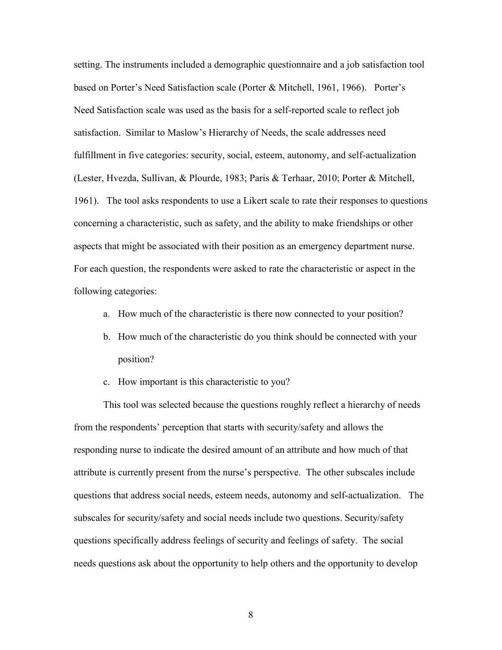setting. The instruments included a demographic questionnaire and a job satisfaction tool based on Porter's Need Satisfaction scale (Porter & Mitchell, 1961, 1966). Porter's Need Satisfaction scale was used as the basis for a self-reported scale to reflect job satisfaction. Similar to Maslow's Hierarchy of Needs, the scale addresses need fulfillment in five categories: security, social, esteem, autonomy, and self-actualization (Lester, Hvezda, Sullivan, & Plourde, 1983; Paris & Terhaar, 2010; Porter & Mitchell, 1961). The tool asks respondents to use a Likert scale to rate their responses to questions concerning a characteristic, such as safety, and the ability to make friendships or other aspects that might be associated with their position as an emergency department nurse. For each question, the respondents were asked to rate the characteristic or aspect in the following categories:

- a. How much of the characteristic is there now connected to your position?
- b. How much of the characteristic do you think should be connected with your position?
- c. How important is this characteristic to you?

This tool was selected because the questions roughly reflect a hierarchy of needs from the respondents' perception that starts with security/safety and allows the responding nurse to indicate the desired amount of an attribute and how much of that attribute is currently present from the nurse's perspective. The other subscales include questions that address social needs, esteem needs, autonomy and self-actualization. The subscales for security/safety and social needs include two questions. Security/safety questions specifically address feelings of security and feelings of safety. The social needs questions ask about the opportunity to help others and the opportunity to develop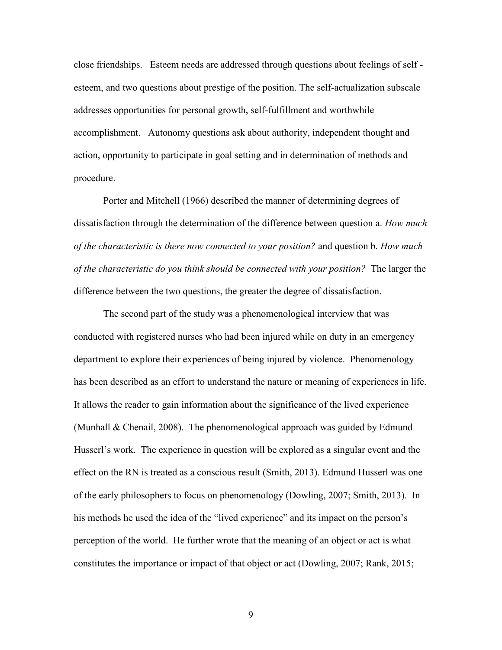close friendships. Esteem needs are addressed through questions about feelings of self esteem, and two questions about prestige of the position. The self-actualization subscale addresses opportunities for personal growth, self-fulfillment and worthwhile accomplishment. Autonomy questions ask about authority, independent thought and action, opportunity to participate in goal setting and in determination of methods and procedure.

Porter and Mitchell (1966) described the manner of determining degrees of dissatisfaction through the determination of the difference between question a. *How much of the characteristic is there now connected to your position?* and question b. *How much of the characteristic do you think should be connected with your position?* The larger the difference between the two questions, the greater the degree of dissatisfaction.

The second part of the study was a phenomenological interview that was conducted with registered nurses who had been injured while on duty in an emergency department to explore their experiences of being injured by violence. Phenomenology has been described as an effort to understand the nature or meaning of experiences in life. It allows the reader to gain information about the significance of the lived experience (Munhall & Chenail, 2008). The phenomenological approach was guided by Edmund Husserl's work. The experience in question will be explored as a singular event and the effect on the RN is treated as a conscious result (Smith, 2013). Edmund Husserl was one of the early philosophers to focus on phenomenology (Dowling, 2007; Smith, 2013). In his methods he used the idea of the "lived experience" and its impact on the person's perception of the world. He further wrote that the meaning of an object or act is what constitutes the importance or impact of that object or act (Dowling, 2007; Rank, 2015;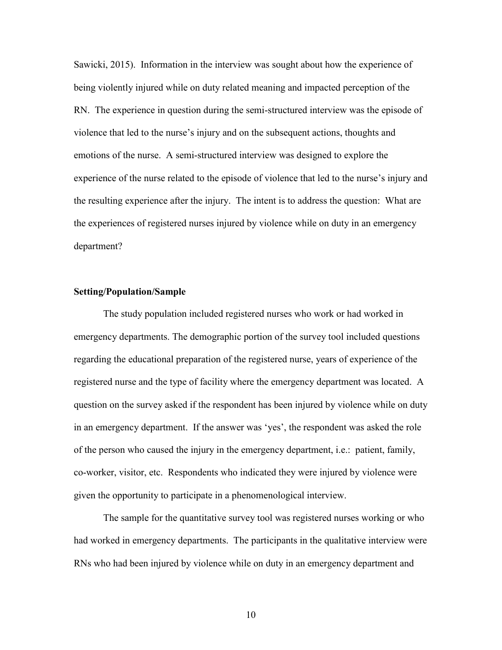Sawicki, 2015). Information in the interview was sought about how the experience of being violently injured while on duty related meaning and impacted perception of the RN. The experience in question during the semi-structured interview was the episode of violence that led to the nurse's injury and on the subsequent actions, thoughts and emotions of the nurse. A semi-structured interview was designed to explore the experience of the nurse related to the episode of violence that led to the nurse's injury and the resulting experience after the injury. The intent is to address the question: What are the experiences of registered nurses injured by violence while on duty in an emergency department?

#### <span id="page-19-0"></span>**Setting/Population/Sample**

The study population included registered nurses who work or had worked in emergency departments. The demographic portion of the survey tool included questions regarding the educational preparation of the registered nurse, years of experience of the registered nurse and the type of facility where the emergency department was located. A question on the survey asked if the respondent has been injured by violence while on duty in an emergency department. If the answer was 'yes', the respondent was asked the role of the person who caused the injury in the emergency department, i.e.: patient, family, co-worker, visitor, etc. Respondents who indicated they were injured by violence were given the opportunity to participate in a phenomenological interview.

The sample for the quantitative survey tool was registered nurses working or who had worked in emergency departments. The participants in the qualitative interview were RNs who had been injured by violence while on duty in an emergency department and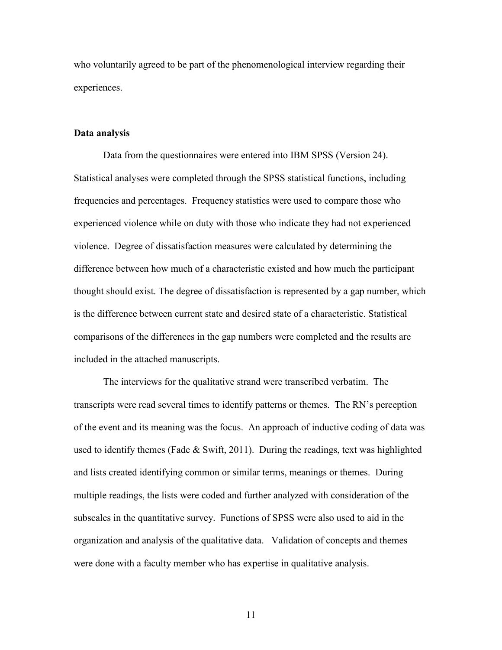who voluntarily agreed to be part of the phenomenological interview regarding their experiences.

#### <span id="page-20-0"></span>**Data analysis**

Data from the questionnaires were entered into IBM SPSS (Version 24). Statistical analyses were completed through the SPSS statistical functions, including frequencies and percentages. Frequency statistics were used to compare those who experienced violence while on duty with those who indicate they had not experienced violence. Degree of dissatisfaction measures were calculated by determining the difference between how much of a characteristic existed and how much the participant thought should exist. The degree of dissatisfaction is represented by a gap number, which is the difference between current state and desired state of a characteristic. Statistical comparisons of the differences in the gap numbers were completed and the results are included in the attached manuscripts.

The interviews for the qualitative strand were transcribed verbatim. The transcripts were read several times to identify patterns or themes. The RN's perception of the event and its meaning was the focus. An approach of inductive coding of data was used to identify themes (Fade  $&$  Swift, 2011). During the readings, text was highlighted and lists created identifying common or similar terms, meanings or themes. During multiple readings, the lists were coded and further analyzed with consideration of the subscales in the quantitative survey. Functions of SPSS were also used to aid in the organization and analysis of the qualitative data. Validation of concepts and themes were done with a faculty member who has expertise in qualitative analysis.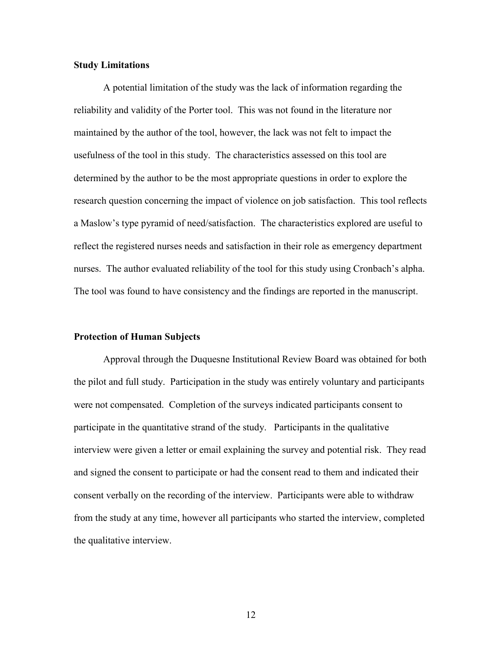#### <span id="page-21-0"></span>**Study Limitations**

A potential limitation of the study was the lack of information regarding the reliability and validity of the Porter tool. This was not found in the literature nor maintained by the author of the tool, however, the lack was not felt to impact the usefulness of the tool in this study. The characteristics assessed on this tool are determined by the author to be the most appropriate questions in order to explore the research question concerning the impact of violence on job satisfaction. This tool reflects a Maslow's type pyramid of need/satisfaction. The characteristics explored are useful to reflect the registered nurses needs and satisfaction in their role as emergency department nurses. The author evaluated reliability of the tool for this study using Cronbach's alpha. The tool was found to have consistency and the findings are reported in the manuscript.

#### <span id="page-21-1"></span>**Protection of Human Subjects**

Approval through the Duquesne Institutional Review Board was obtained for both the pilot and full study. Participation in the study was entirely voluntary and participants were not compensated. Completion of the surveys indicated participants consent to participate in the quantitative strand of the study. Participants in the qualitative interview were given a letter or email explaining the survey and potential risk. They read and signed the consent to participate or had the consent read to them and indicated their consent verbally on the recording of the interview. Participants were able to withdraw from the study at any time, however all participants who started the interview, completed the qualitative interview.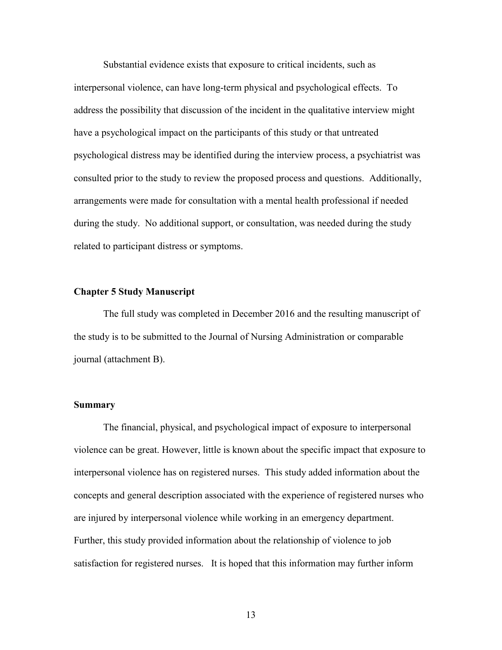Substantial evidence exists that exposure to critical incidents, such as interpersonal violence, can have long-term physical and psychological effects. To address the possibility that discussion of the incident in the qualitative interview might have a psychological impact on the participants of this study or that untreated psychological distress may be identified during the interview process, a psychiatrist was consulted prior to the study to review the proposed process and questions. Additionally, arrangements were made for consultation with a mental health professional if needed during the study. No additional support, or consultation, was needed during the study related to participant distress or symptoms.

#### <span id="page-22-0"></span>**Chapter 5 Study Manuscript**

The full study was completed in December 2016 and the resulting manuscript of the study is to be submitted to the Journal of Nursing Administration or comparable journal (attachment B).

#### <span id="page-22-1"></span>**Summary**

The financial, physical, and psychological impact of exposure to interpersonal violence can be great. However, little is known about the specific impact that exposure to interpersonal violence has on registered nurses. This study added information about the concepts and general description associated with the experience of registered nurses who are injured by interpersonal violence while working in an emergency department. Further, this study provided information about the relationship of violence to job satisfaction for registered nurses. It is hoped that this information may further inform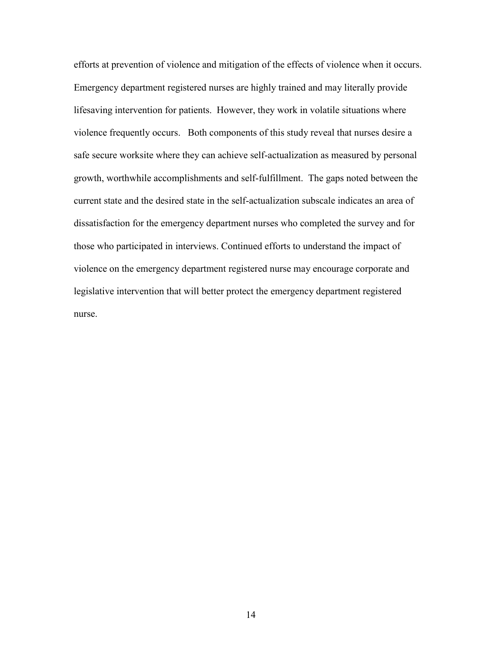efforts at prevention of violence and mitigation of the effects of violence when it occurs. Emergency department registered nurses are highly trained and may literally provide lifesaving intervention for patients. However, they work in volatile situations where violence frequently occurs. Both components of this study reveal that nurses desire a safe secure worksite where they can achieve self-actualization as measured by personal growth, worthwhile accomplishments and self-fulfillment. The gaps noted between the current state and the desired state in the self-actualization subscale indicates an area of dissatisfaction for the emergency department nurses who completed the survey and for those who participated in interviews. Continued efforts to understand the impact of violence on the emergency department registered nurse may encourage corporate and legislative intervention that will better protect the emergency department registered nurse.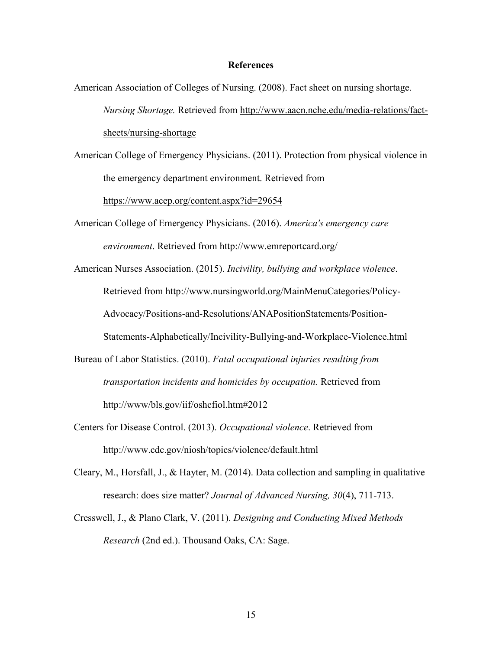#### **References**

- American Association of Colleges of Nursing. (2008). Fact sheet on nursing shortage. *Nursing Shortage.* Retrieved from http://www.aacn.nche.edu/media-relations/factsheets/nursing-shortage
- American College of Emergency Physicians. (2011). Protection from physical violence in the emergency department environment. Retrieved from

https://www.acep.org/content.aspx?id=29654

American College of Emergency Physicians. (2016). *America's emergency care environment*. Retrieved from http://www.emreportcard.org/

American Nurses Association. (2015). *Incivility, bullying and workplace violence*. Retrieved from http://www.nursingworld.org/MainMenuCategories/Policy-Advocacy/Positions-and-Resolutions/ANAPositionStatements/Position-Statements-Alphabetically/Incivility-Bullying-and-Workplace-Violence.html

- Bureau of Labor Statistics. (2010). *Fatal occupational injuries resulting from transportation incidents and homicides by occupation.* Retrieved from http://www/bls.gov/iif/oshcfiol.htm#2012
- Centers for Disease Control. (2013). *Occupational violence*. Retrieved from http://www.cdc.gov/niosh/topics/violence/default.html
- Cleary, M., Horsfall, J., & Hayter, M. (2014). Data collection and sampling in qualitative research: does size matter? *Journal of Advanced Nursing, 30*(4), 711-713.
- Cresswell, J., & Plano Clark, V. (2011). *Designing and Conducting Mixed Methods Research* (2nd ed.). Thousand Oaks, CA: Sage.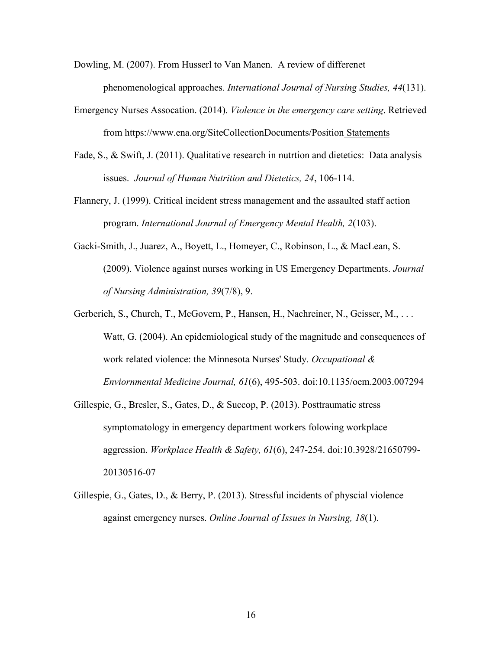Dowling, M. (2007). From Husserl to Van Manen. A review of differenet phenomenological approaches. *International Journal of Nursing Studies, 44*(131).

- Emergency Nurses Assocation. (2014). *Violence in the emergency care setting*. Retrieved from https://www.ena.org/SiteCollectionDocuments/Position Statements
- Fade, S., & Swift, J. (2011). Qualitative research in nutrtion and dietetics: Data analysis issues. *Journal of Human Nutrition and Dietetics, 24*, 106-114.
- Flannery, J. (1999). Critical incident stress management and the assaulted staff action program. *International Journal of Emergency Mental Health, 2*(103).
- Gacki-Smith, J., Juarez, A., Boyett, L., Homeyer, C., Robinson, L., & MacLean, S. (2009). Violence against nurses working in US Emergency Departments. *Journal of Nursing Administration, 39*(7/8), 9.
- Gerberich, S., Church, T., McGovern, P., Hansen, H., Nachreiner, N., Geisser, M., ... Watt, G. (2004). An epidemiological study of the magnitude and consequences of work related violence: the Minnesota Nurses' Study. *Occupational & Enviornmental Medicine Journal, 61*(6), 495-503. doi:10.1135/oem.2003.007294
- Gillespie, G., Bresler, S., Gates, D., & Succop, P. (2013). Posttraumatic stress symptomatology in emergency department workers folowing workplace aggression. *Workplace Health & Safety, 61*(6), 247-254. doi:10.3928/21650799- 20130516-07
- Gillespie, G., Gates, D., & Berry, P. (2013). Stressful incidents of physcial violence against emergency nurses. *Online Journal of Issues in Nursing, 18*(1).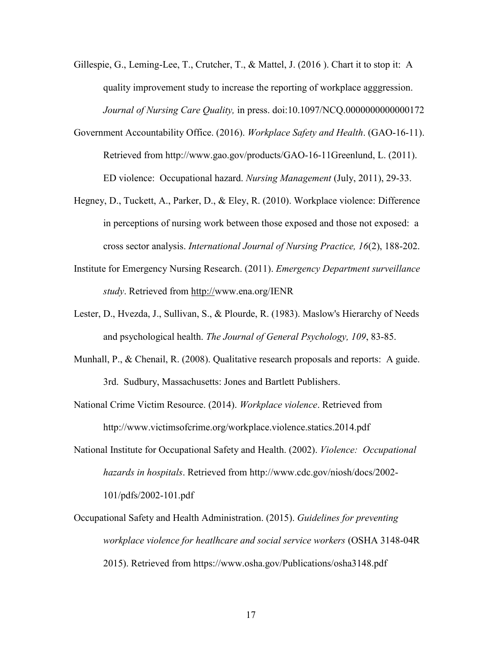- Gillespie, G., Leming-Lee, T., Crutcher, T., & Mattel, J. (2016 ). Chart it to stop it: A quality improvement study to increase the reporting of workplace agggression. *Journal of Nursing Care Quality,* in press. doi:10.1097/NCQ.0000000000000172
- Government Accountability Office. (2016). *Workplace Safety and Health*. (GAO-16-11). Retrieved from http://www.gao.gov/products/GAO-16-11Greenlund, L. (2011). ED violence: Occupational hazard. *Nursing Management* (July, 2011), 29-33.
- Hegney, D., Tuckett, A., Parker, D., & Eley, R. (2010). Workplace violence: Difference in perceptions of nursing work between those exposed and those not exposed: a cross sector analysis. *International Journal of Nursing Practice, 16*(2), 188-202.
- Institute for Emergency Nursing Research. (2011). *Emergency Department surveillance study*. Retrieved from http://www.ena.org/IENR
- Lester, D., Hvezda, J., Sullivan, S., & Plourde, R. (1983). Maslow's Hierarchy of Needs and psychological health. *The Journal of General Psychology, 109*, 83-85.
- Munhall, P., & Chenail, R. (2008). Qualitative research proposals and reports: A guide. 3rd. Sudbury, Massachusetts: Jones and Bartlett Publishers.
- National Crime Victim Resource. (2014). *Workplace violence*. Retrieved from http://www.victimsofcrime.org/workplace.violence.statics.2014.pdf
- National Institute for Occupational Safety and Health. (2002). *Violence: Occupational hazards in hospitals*. Retrieved from http://www.cdc.gov/niosh/docs/2002- 101/pdfs/2002-101.pdf
- Occupational Safety and Health Administration. (2015). *Guidelines for preventing workplace violence for heatlhcare and social service workers* (OSHA 3148-04R 2015). Retrieved from https://www.osha.gov/Publications/osha3148.pdf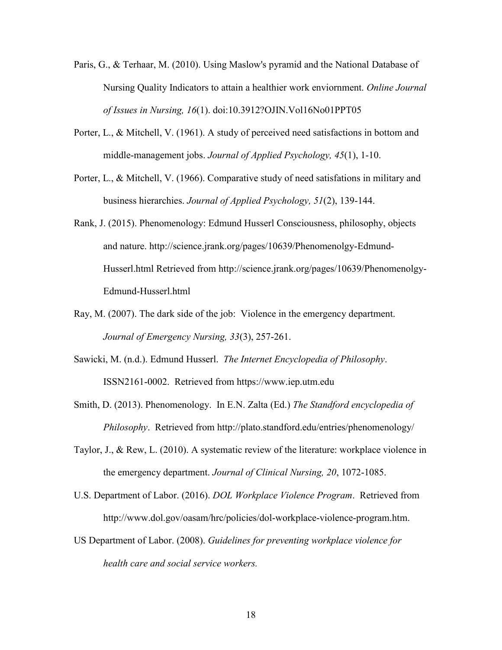- Paris, G., & Terhaar, M. (2010). Using Maslow's pyramid and the National Database of Nursing Quality Indicators to attain a healthier work enviornment. *Online Journal of Issues in Nursing, 16*(1). doi:10.3912?OJIN.Vol16No01PPT05
- Porter, L., & Mitchell, V. (1961). A study of perceived need satisfactions in bottom and middle-management jobs. *Journal of Applied Psychology, 45*(1), 1-10.
- Porter, L., & Mitchell, V. (1966). Comparative study of need satisfations in military and business hierarchies. *Journal of Applied Psychology, 51*(2), 139-144.
- Rank, J. (2015). Phenomenology: Edmund Husserl Consciousness, philosophy, objects and nature. http://science.jrank.org/pages/10639/Phenomenolgy-Edmund-Husserl.html Retrieved from http://science.jrank.org/pages/10639/Phenomenolgy-Edmund-Husserl.html
- Ray, M. (2007). The dark side of the job: Violence in the emergency department. *Journal of Emergency Nursing, 33*(3), 257-261.
- Sawicki, M. (n.d.). Edmund Husserl. *The Internet Encyclopedia of Philosophy*. ISSN2161-0002. Retrieved from https://www.iep.utm.edu
- Smith, D. (2013). Phenomenology. In E.N. Zalta (Ed.) *The Standford encyclopedia of Philosophy*. Retrieved from http://plato.standford.edu/entries/phenomenology/
- Taylor, J., & Rew, L. (2010). A systematic review of the literature: workplace violence in the emergency department. *Journal of Clinical Nursing, 20*, 1072-1085.
- U.S. Department of Labor. (2016). *DOL Workplace Violence Program*. Retrieved from http://www.dol.gov/oasam/hrc/policies/dol-workplace-violence-program.htm.
- US Department of Labor. (2008). *Guidelines for preventing workplace violence for health care and social service workers.*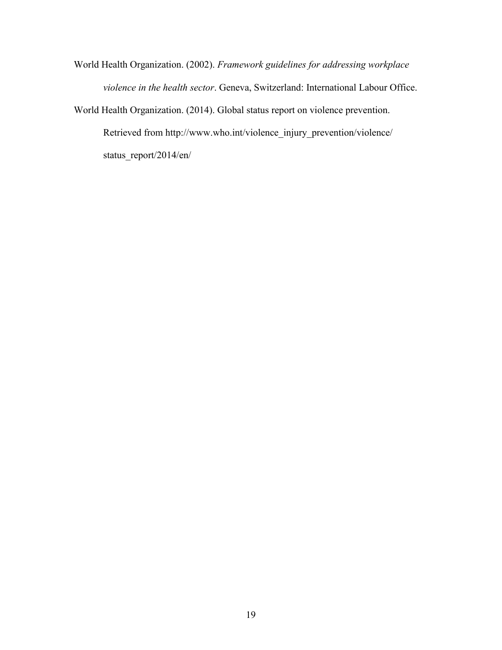World Health Organization. (2002). *Framework guidelines for addressing workplace violence in the health sector*. Geneva, Switzerland: International Labour Office.

World Health Organization. (2014). Global status report on violence prevention. Retrieved from http://www.who.int/violence\_injury\_prevention/violence/ status\_report/2014/en/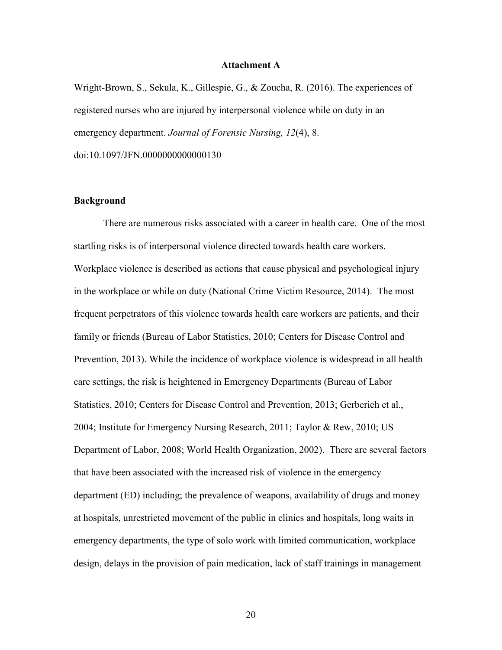#### **Attachment A**

Wright-Brown, S., Sekula, K., Gillespie, G., & Zoucha, R. (2016). The experiences of registered nurses who are injured by interpersonal violence while on duty in an emergency department. *Journal of Forensic Nursing, 12*(4), 8. doi:10.1097/JFN.0000000000000130

#### **Background**

There are numerous risks associated with a career in health care. One of the most startling risks is of interpersonal violence directed towards health care workers. Workplace violence is described as actions that cause physical and psychological injury in the workplace or while on duty (National Crime Victim Resource, 2014). The most frequent perpetrators of this violence towards health care workers are patients, and their family or friends (Bureau of Labor Statistics, 2010; Centers for Disease Control and Prevention, 2013). While the incidence of workplace violence is widespread in all health care settings, the risk is heightened in Emergency Departments (Bureau of Labor Statistics, 2010; Centers for Disease Control and Prevention, 2013; Gerberich et al., 2004; Institute for Emergency Nursing Research, 2011; Taylor & Rew, 2010; US Department of Labor, 2008; World Health Organization, 2002). There are several factors that have been associated with the increased risk of violence in the emergency department (ED) including; the prevalence of weapons, availability of drugs and money at hospitals, unrestricted movement of the public in clinics and hospitals, long waits in emergency departments, the type of solo work with limited communication, workplace design, delays in the provision of pain medication, lack of staff trainings in management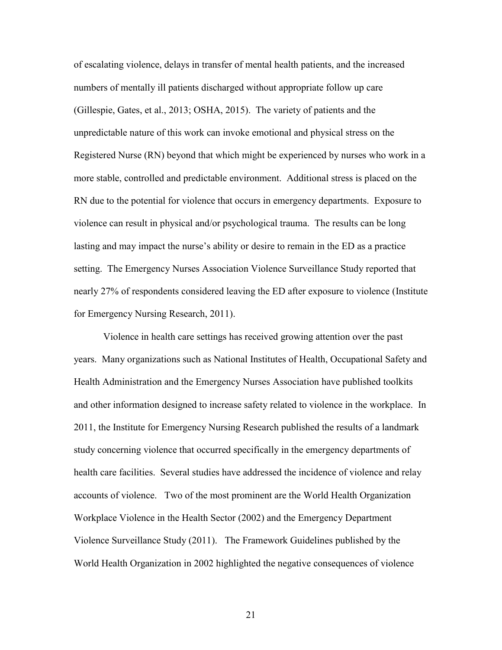of escalating violence, delays in transfer of mental health patients, and the increased numbers of mentally ill patients discharged without appropriate follow up care (Gillespie, Gates, et al., 2013; OSHA, 2015). The variety of patients and the unpredictable nature of this work can invoke emotional and physical stress on the Registered Nurse (RN) beyond that which might be experienced by nurses who work in a more stable, controlled and predictable environment. Additional stress is placed on the RN due to the potential for violence that occurs in emergency departments. Exposure to violence can result in physical and/or psychological trauma. The results can be long lasting and may impact the nurse's ability or desire to remain in the ED as a practice setting. The Emergency Nurses Association Violence Surveillance Study reported that nearly 27% of respondents considered leaving the ED after exposure to violence (Institute for Emergency Nursing Research, 2011).

Violence in health care settings has received growing attention over the past years. Many organizations such as National Institutes of Health, Occupational Safety and Health Administration and the Emergency Nurses Association have published toolkits and other information designed to increase safety related to violence in the workplace. In 2011, the Institute for Emergency Nursing Research published the results of a landmark study concerning violence that occurred specifically in the emergency departments of health care facilities. Several studies have addressed the incidence of violence and relay accounts of violence. Two of the most prominent are the World Health Organization Workplace Violence in the Health Sector (2002) and the Emergency Department Violence Surveillance Study (2011). The Framework Guidelines published by the World Health Organization in 2002 highlighted the negative consequences of violence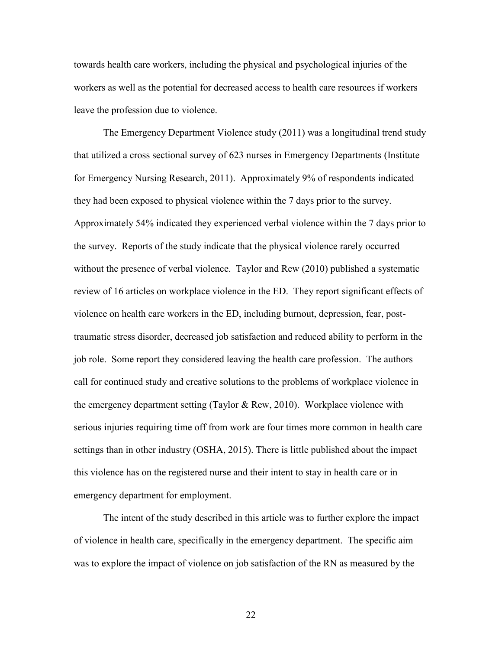towards health care workers, including the physical and psychological injuries of the workers as well as the potential for decreased access to health care resources if workers leave the profession due to violence.

The Emergency Department Violence study (2011) was a longitudinal trend study that utilized a cross sectional survey of 623 nurses in Emergency Departments (Institute for Emergency Nursing Research, 2011). Approximately 9% of respondents indicated they had been exposed to physical violence within the 7 days prior to the survey. Approximately 54% indicated they experienced verbal violence within the 7 days prior to the survey. Reports of the study indicate that the physical violence rarely occurred without the presence of verbal violence. Taylor and Rew (2010) published a systematic review of 16 articles on workplace violence in the ED. They report significant effects of violence on health care workers in the ED, including burnout, depression, fear, posttraumatic stress disorder, decreased job satisfaction and reduced ability to perform in the job role. Some report they considered leaving the health care profession. The authors call for continued study and creative solutions to the problems of workplace violence in the emergency department setting (Taylor & Rew, 2010). Workplace violence with serious injuries requiring time off from work are four times more common in health care settings than in other industry (OSHA, 2015). There is little published about the impact this violence has on the registered nurse and their intent to stay in health care or in emergency department for employment.

The intent of the study described in this article was to further explore the impact of violence in health care, specifically in the emergency department. The specific aim was to explore the impact of violence on job satisfaction of the RN as measured by the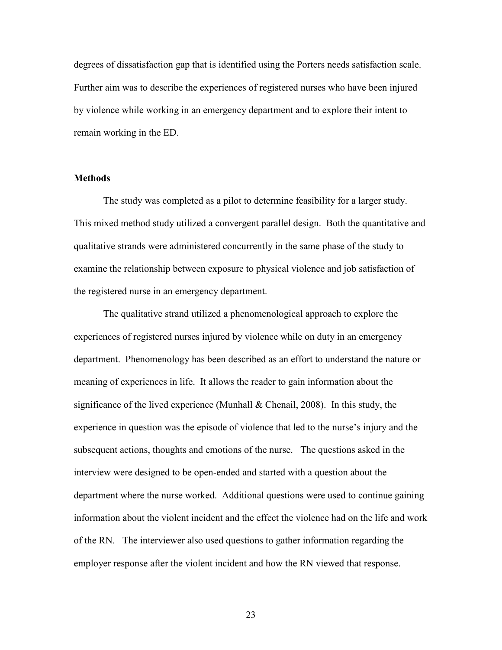degrees of dissatisfaction gap that is identified using the Porters needs satisfaction scale. Further aim was to describe the experiences of registered nurses who have been injured by violence while working in an emergency department and to explore their intent to remain working in the ED.

#### **Methods**

The study was completed as a pilot to determine feasibility for a larger study. This mixed method study utilized a convergent parallel design. Both the quantitative and qualitative strands were administered concurrently in the same phase of the study to examine the relationship between exposure to physical violence and job satisfaction of the registered nurse in an emergency department.

The qualitative strand utilized a phenomenological approach to explore the experiences of registered nurses injured by violence while on duty in an emergency department. Phenomenology has been described as an effort to understand the nature or meaning of experiences in life. It allows the reader to gain information about the significance of the lived experience (Munhall & Chenail, 2008). In this study, the experience in question was the episode of violence that led to the nurse's injury and the subsequent actions, thoughts and emotions of the nurse. The questions asked in the interview were designed to be open-ended and started with a question about the department where the nurse worked. Additional questions were used to continue gaining information about the violent incident and the effect the violence had on the life and work of the RN. The interviewer also used questions to gather information regarding the employer response after the violent incident and how the RN viewed that response.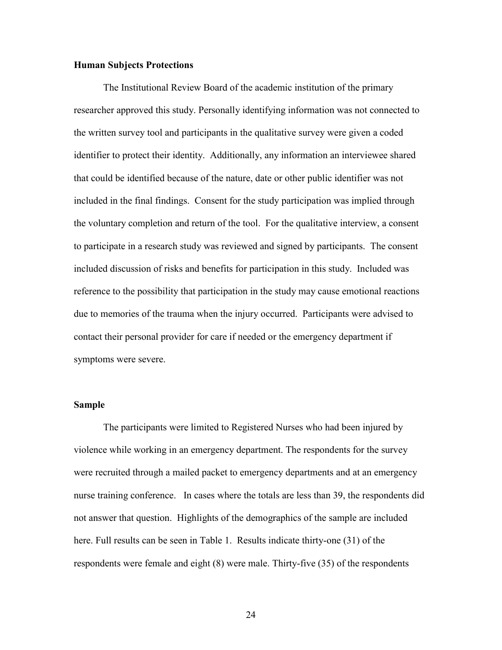#### **Human Subjects Protections**

The Institutional Review Board of the academic institution of the primary researcher approved this study. Personally identifying information was not connected to the written survey tool and participants in the qualitative survey were given a coded identifier to protect their identity. Additionally, any information an interviewee shared that could be identified because of the nature, date or other public identifier was not included in the final findings. Consent for the study participation was implied through the voluntary completion and return of the tool. For the qualitative interview, a consent to participate in a research study was reviewed and signed by participants. The consent included discussion of risks and benefits for participation in this study. Included was reference to the possibility that participation in the study may cause emotional reactions due to memories of the trauma when the injury occurred. Participants were advised to contact their personal provider for care if needed or the emergency department if symptoms were severe.

#### **Sample**

The participants were limited to Registered Nurses who had been injured by violence while working in an emergency department. The respondents for the survey were recruited through a mailed packet to emergency departments and at an emergency nurse training conference. In cases where the totals are less than 39, the respondents did not answer that question. Highlights of the demographics of the sample are included here. Full results can be seen in Table 1. Results indicate thirty-one (31) of the respondents were female and eight (8) were male. Thirty-five (35) of the respondents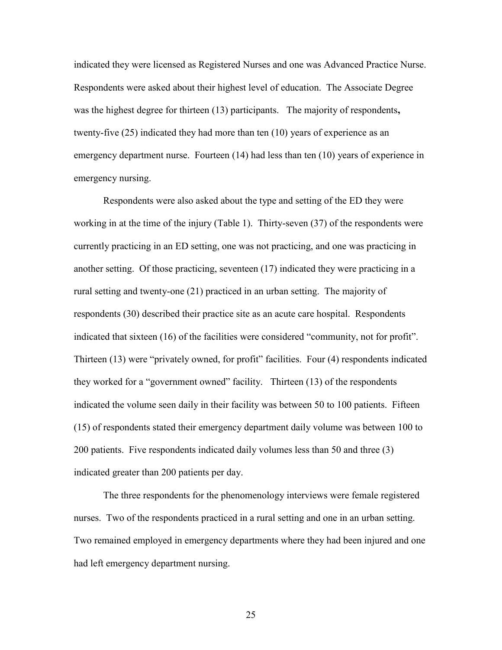indicated they were licensed as Registered Nurses and one was Advanced Practice Nurse. Respondents were asked about their highest level of education. The Associate Degree was the highest degree for thirteen (13) participants. The majority of respondents**,**  twenty-five (25) indicated they had more than ten (10) years of experience as an emergency department nurse. Fourteen (14) had less than ten (10) years of experience in emergency nursing.

Respondents were also asked about the type and setting of the ED they were working in at the time of the injury (Table 1). Thirty-seven (37) of the respondents were currently practicing in an ED setting, one was not practicing, and one was practicing in another setting. Of those practicing, seventeen (17) indicated they were practicing in a rural setting and twenty-one (21) practiced in an urban setting. The majority of respondents (30) described their practice site as an acute care hospital. Respondents indicated that sixteen (16) of the facilities were considered "community, not for profit". Thirteen (13) were "privately owned, for profit" facilities. Four (4) respondents indicated they worked for a "government owned" facility. Thirteen (13) of the respondents indicated the volume seen daily in their facility was between 50 to 100 patients. Fifteen (15) of respondents stated their emergency department daily volume was between 100 to 200 patients. Five respondents indicated daily volumes less than 50 and three (3) indicated greater than 200 patients per day.

The three respondents for the phenomenology interviews were female registered nurses. Two of the respondents practiced in a rural setting and one in an urban setting. Two remained employed in emergency departments where they had been injured and one had left emergency department nursing.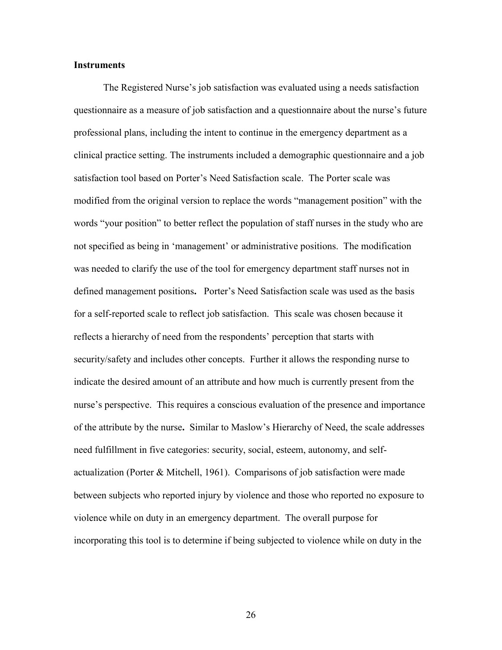#### **Instruments**

The Registered Nurse's job satisfaction was evaluated using a needs satisfaction questionnaire as a measure of job satisfaction and a questionnaire about the nurse's future professional plans, including the intent to continue in the emergency department as a clinical practice setting. The instruments included a demographic questionnaire and a job satisfaction tool based on Porter's Need Satisfaction scale. The Porter scale was modified from the original version to replace the words "management position" with the words "your position" to better reflect the population of staff nurses in the study who are not specified as being in 'management' or administrative positions. The modification was needed to clarify the use of the tool for emergency department staff nurses not in defined management positions**.** Porter's Need Satisfaction scale was used as the basis for a self-reported scale to reflect job satisfaction. This scale was chosen because it reflects a hierarchy of need from the respondents' perception that starts with security/safety and includes other concepts. Further it allows the responding nurse to indicate the desired amount of an attribute and how much is currently present from the nurse's perspective. This requires a conscious evaluation of the presence and importance of the attribute by the nurse**.** Similar to Maslow's Hierarchy of Need, the scale addresses need fulfillment in five categories: security, social, esteem, autonomy, and selfactualization (Porter & Mitchell, 1961). Comparisons of job satisfaction were made between subjects who reported injury by violence and those who reported no exposure to violence while on duty in an emergency department. The overall purpose for incorporating this tool is to determine if being subjected to violence while on duty in the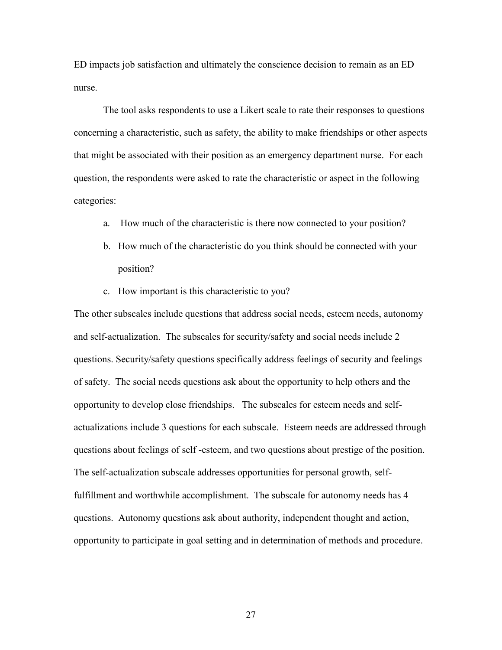ED impacts job satisfaction and ultimately the conscience decision to remain as an ED nurse.

The tool asks respondents to use a Likert scale to rate their responses to questions concerning a characteristic, such as safety, the ability to make friendships or other aspects that might be associated with their position as an emergency department nurse. For each question, the respondents were asked to rate the characteristic or aspect in the following categories:

- a. How much of the characteristic is there now connected to your position?
- b. How much of the characteristic do you think should be connected with your position?
- c. How important is this characteristic to you?

The other subscales include questions that address social needs, esteem needs, autonomy and self-actualization. The subscales for security/safety and social needs include 2 questions. Security/safety questions specifically address feelings of security and feelings of safety. The social needs questions ask about the opportunity to help others and the opportunity to develop close friendships. The subscales for esteem needs and selfactualizations include 3 questions for each subscale. Esteem needs are addressed through questions about feelings of self -esteem, and two questions about prestige of the position. The self-actualization subscale addresses opportunities for personal growth, selffulfillment and worthwhile accomplishment. The subscale for autonomy needs has 4 questions. Autonomy questions ask about authority, independent thought and action, opportunity to participate in goal setting and in determination of methods and procedure.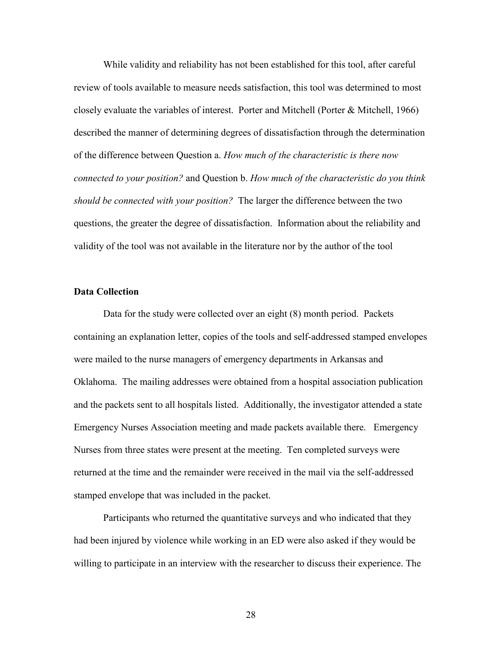While validity and reliability has not been established for this tool, after careful review of tools available to measure needs satisfaction, this tool was determined to most closely evaluate the variables of interest. Porter and Mitchell (Porter & Mitchell, 1966) described the manner of determining degrees of dissatisfaction through the determination of the difference between Question a. *How much of the characteristic is there now connected to your position?* and Question b. *How much of the characteristic do you think should be connected with your position?* The larger the difference between the two questions, the greater the degree of dissatisfaction. Information about the reliability and validity of the tool was not available in the literature nor by the author of the tool

#### **Data Collection**

Data for the study were collected over an eight (8) month period. Packets containing an explanation letter, copies of the tools and self-addressed stamped envelopes were mailed to the nurse managers of emergency departments in Arkansas and Oklahoma. The mailing addresses were obtained from a hospital association publication and the packets sent to all hospitals listed. Additionally, the investigator attended a state Emergency Nurses Association meeting and made packets available there. Emergency Nurses from three states were present at the meeting. Ten completed surveys were returned at the time and the remainder were received in the mail via the self-addressed stamped envelope that was included in the packet.

Participants who returned the quantitative surveys and who indicated that they had been injured by violence while working in an ED were also asked if they would be willing to participate in an interview with the researcher to discuss their experience. The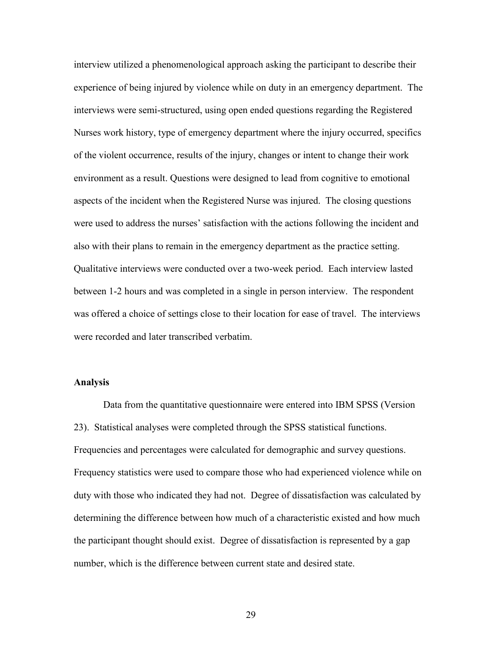interview utilized a phenomenological approach asking the participant to describe their experience of being injured by violence while on duty in an emergency department. The interviews were semi-structured, using open ended questions regarding the Registered Nurses work history, type of emergency department where the injury occurred, specifics of the violent occurrence, results of the injury, changes or intent to change their work environment as a result. Questions were designed to lead from cognitive to emotional aspects of the incident when the Registered Nurse was injured. The closing questions were used to address the nurses' satisfaction with the actions following the incident and also with their plans to remain in the emergency department as the practice setting. Qualitative interviews were conducted over a two-week period. Each interview lasted between 1-2 hours and was completed in a single in person interview. The respondent was offered a choice of settings close to their location for ease of travel. The interviews were recorded and later transcribed verbatim.

# **Analysis**

Data from the quantitative questionnaire were entered into IBM SPSS (Version 23). Statistical analyses were completed through the SPSS statistical functions. Frequencies and percentages were calculated for demographic and survey questions. Frequency statistics were used to compare those who had experienced violence while on duty with those who indicated they had not. Degree of dissatisfaction was calculated by determining the difference between how much of a characteristic existed and how much the participant thought should exist. Degree of dissatisfaction is represented by a gap number, which is the difference between current state and desired state.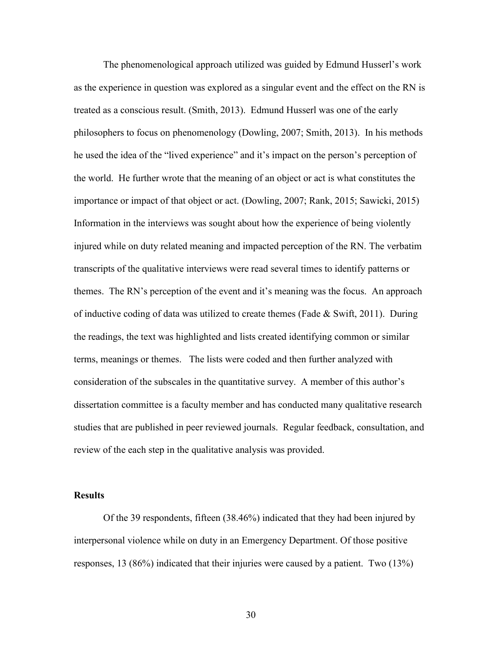The phenomenological approach utilized was guided by Edmund Husserl's work as the experience in question was explored as a singular event and the effect on the RN is treated as a conscious result. (Smith, 2013). Edmund Husserl was one of the early philosophers to focus on phenomenology (Dowling, 2007; Smith, 2013). In his methods he used the idea of the "lived experience" and it's impact on the person's perception of the world. He further wrote that the meaning of an object or act is what constitutes the importance or impact of that object or act. (Dowling, 2007; Rank, 2015; Sawicki, 2015) Information in the interviews was sought about how the experience of being violently injured while on duty related meaning and impacted perception of the RN. The verbatim transcripts of the qualitative interviews were read several times to identify patterns or themes. The RN's perception of the event and it's meaning was the focus. An approach of inductive coding of data was utilized to create themes (Fade & Swift, 2011). During the readings, the text was highlighted and lists created identifying common or similar terms, meanings or themes. The lists were coded and then further analyzed with consideration of the subscales in the quantitative survey. A member of this author's dissertation committee is a faculty member and has conducted many qualitative research studies that are published in peer reviewed journals. Regular feedback, consultation, and review of the each step in the qualitative analysis was provided.

# **Results**

Of the 39 respondents, fifteen (38.46%) indicated that they had been injured by interpersonal violence while on duty in an Emergency Department. Of those positive responses, 13 (86%) indicated that their injuries were caused by a patient. Two (13%)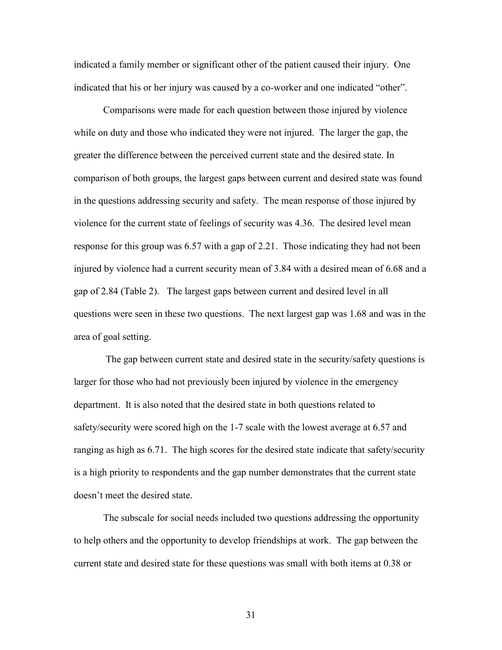indicated a family member or significant other of the patient caused their injury. One indicated that his or her injury was caused by a co-worker and one indicated "other".

Comparisons were made for each question between those injured by violence while on duty and those who indicated they were not injured. The larger the gap, the greater the difference between the perceived current state and the desired state. In comparison of both groups, the largest gaps between current and desired state was found in the questions addressing security and safety. The mean response of those injured by violence for the current state of feelings of security was 4.36. The desired level mean response for this group was 6.57 with a gap of 2.21. Those indicating they had not been injured by violence had a current security mean of 3.84 with a desired mean of 6.68 and a gap of 2.84 (Table 2). The largest gaps between current and desired level in all questions were seen in these two questions. The next largest gap was 1.68 and was in the area of goal setting.

The gap between current state and desired state in the security/safety questions is larger for those who had not previously been injured by violence in the emergency department. It is also noted that the desired state in both questions related to safety/security were scored high on the 1-7 scale with the lowest average at 6.57 and ranging as high as 6.71. The high scores for the desired state indicate that safety/security is a high priority to respondents and the gap number demonstrates that the current state doesn't meet the desired state.

The subscale for social needs included two questions addressing the opportunity to help others and the opportunity to develop friendships at work. The gap between the current state and desired state for these questions was small with both items at 0.38 or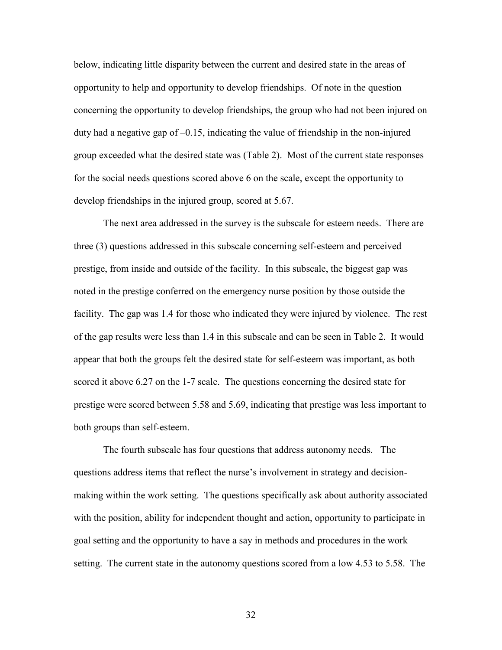below, indicating little disparity between the current and desired state in the areas of opportunity to help and opportunity to develop friendships. Of note in the question concerning the opportunity to develop friendships, the group who had not been injured on duty had a negative gap of  $-0.15$ , indicating the value of friendship in the non-injured group exceeded what the desired state was (Table 2). Most of the current state responses for the social needs questions scored above 6 on the scale, except the opportunity to develop friendships in the injured group, scored at 5.67.

The next area addressed in the survey is the subscale for esteem needs. There are three (3) questions addressed in this subscale concerning self-esteem and perceived prestige, from inside and outside of the facility. In this subscale, the biggest gap was noted in the prestige conferred on the emergency nurse position by those outside the facility. The gap was 1.4 for those who indicated they were injured by violence. The rest of the gap results were less than 1.4 in this subscale and can be seen in Table 2. It would appear that both the groups felt the desired state for self-esteem was important, as both scored it above 6.27 on the 1-7 scale. The questions concerning the desired state for prestige were scored between 5.58 and 5.69, indicating that prestige was less important to both groups than self-esteem.

The fourth subscale has four questions that address autonomy needs. The questions address items that reflect the nurse's involvement in strategy and decisionmaking within the work setting. The questions specifically ask about authority associated with the position, ability for independent thought and action, opportunity to participate in goal setting and the opportunity to have a say in methods and procedures in the work setting. The current state in the autonomy questions scored from a low 4.53 to 5.58. The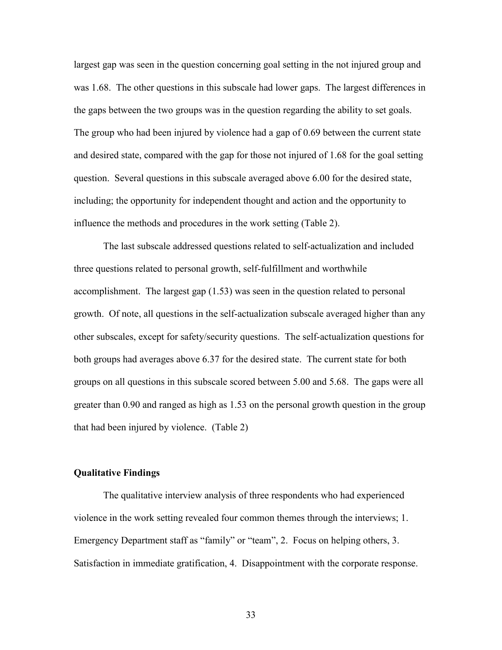largest gap was seen in the question concerning goal setting in the not injured group and was 1.68. The other questions in this subscale had lower gaps. The largest differences in the gaps between the two groups was in the question regarding the ability to set goals. The group who had been injured by violence had a gap of 0.69 between the current state and desired state, compared with the gap for those not injured of 1.68 for the goal setting question. Several questions in this subscale averaged above 6.00 for the desired state, including; the opportunity for independent thought and action and the opportunity to influence the methods and procedures in the work setting (Table 2).

The last subscale addressed questions related to self-actualization and included three questions related to personal growth, self-fulfillment and worthwhile accomplishment. The largest gap (1.53) was seen in the question related to personal growth. Of note, all questions in the self-actualization subscale averaged higher than any other subscales, except for safety/security questions. The self-actualization questions for both groups had averages above 6.37 for the desired state. The current state for both groups on all questions in this subscale scored between 5.00 and 5.68. The gaps were all greater than 0.90 and ranged as high as 1.53 on the personal growth question in the group that had been injured by violence. (Table 2)

#### **Qualitative Findings**

The qualitative interview analysis of three respondents who had experienced violence in the work setting revealed four common themes through the interviews; 1. Emergency Department staff as "family" or "team", 2. Focus on helping others, 3. Satisfaction in immediate gratification, 4. Disappointment with the corporate response.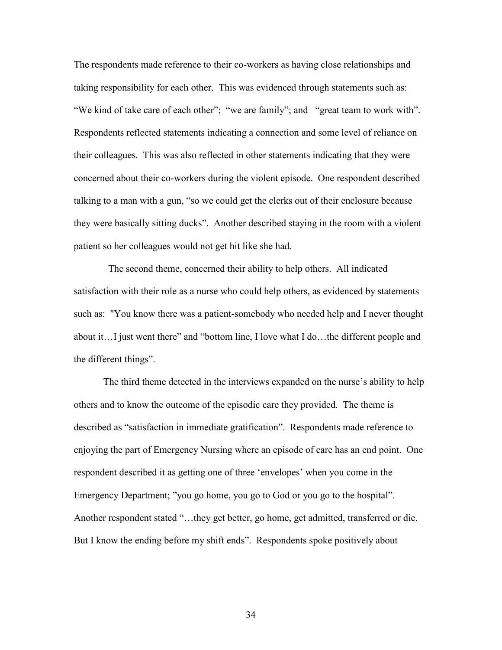The respondents made reference to their co-workers as having close relationships and taking responsibility for each other. This was evidenced through statements such as: "We kind of take care of each other"; "we are family"; and "great team to work with". Respondents reflected statements indicating a connection and some level of reliance on their colleagues. This was also reflected in other statements indicating that they were concerned about their co-workers during the violent episode. One respondent described talking to a man with a gun, "so we could get the clerks out of their enclosure because they were basically sitting ducks". Another described staying in the room with a violent patient so her colleagues would not get hit like she had.

 The second theme, concerned their ability to help others. All indicated satisfaction with their role as a nurse who could help others, as evidenced by statements such as: "You know there was a patient-somebody who needed help and I never thought about it…I just went there" and "bottom line, I love what I do…the different people and the different things".

The third theme detected in the interviews expanded on the nurse's ability to help others and to know the outcome of the episodic care they provided. The theme is described as "satisfaction in immediate gratification". Respondents made reference to enjoying the part of Emergency Nursing where an episode of care has an end point. One respondent described it as getting one of three 'envelopes' when you come in the Emergency Department; "you go home, you go to God or you go to the hospital". Another respondent stated "…they get better, go home, get admitted, transferred or die. But I know the ending before my shift ends". Respondents spoke positively about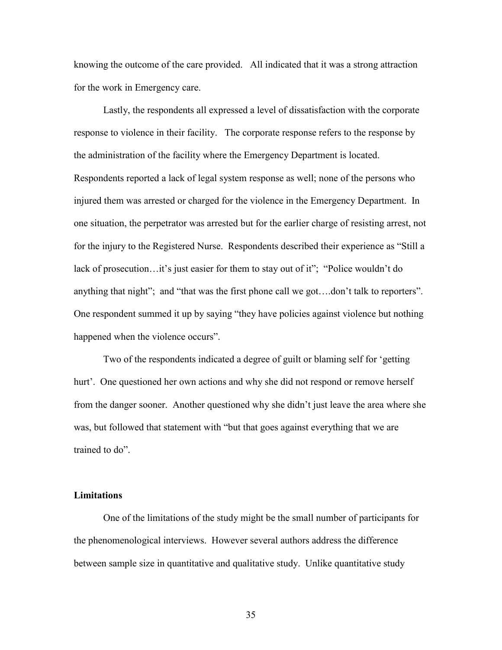knowing the outcome of the care provided. All indicated that it was a strong attraction for the work in Emergency care.

Lastly, the respondents all expressed a level of dissatisfaction with the corporate response to violence in their facility. The corporate response refers to the response by the administration of the facility where the Emergency Department is located. Respondents reported a lack of legal system response as well; none of the persons who injured them was arrested or charged for the violence in the Emergency Department. In one situation, the perpetrator was arrested but for the earlier charge of resisting arrest, not for the injury to the Registered Nurse. Respondents described their experience as "Still a lack of prosecution…it's just easier for them to stay out of it"; "Police wouldn't do anything that night"; and "that was the first phone call we got….don't talk to reporters". One respondent summed it up by saying "they have policies against violence but nothing happened when the violence occurs".

Two of the respondents indicated a degree of guilt or blaming self for 'getting hurt'. One questioned her own actions and why she did not respond or remove herself from the danger sooner. Another questioned why she didn't just leave the area where she was, but followed that statement with "but that goes against everything that we are trained to do".

# **Limitations**

One of the limitations of the study might be the small number of participants for the phenomenological interviews. However several authors address the difference between sample size in quantitative and qualitative study. Unlike quantitative study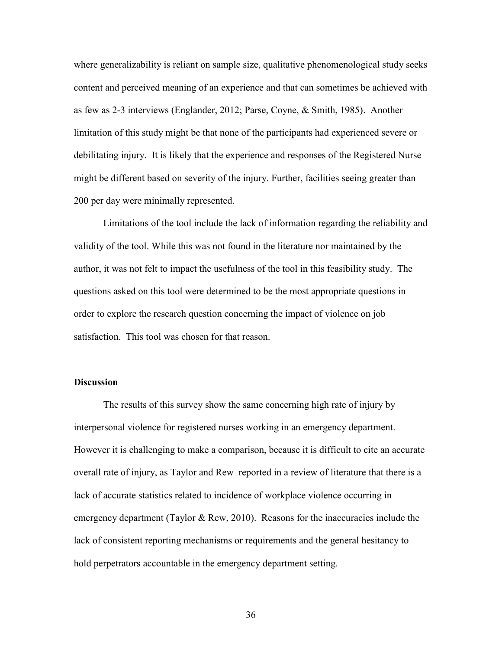where generalizability is reliant on sample size, qualitative phenomenological study seeks content and perceived meaning of an experience and that can sometimes be achieved with as few as 2-3 interviews (Englander, 2012; Parse, Coyne, & Smith, 1985). Another limitation of this study might be that none of the participants had experienced severe or debilitating injury. It is likely that the experience and responses of the Registered Nurse might be different based on severity of the injury. Further, facilities seeing greater than 200 per day were minimally represented.

Limitations of the tool include the lack of information regarding the reliability and validity of the tool. While this was not found in the literature nor maintained by the author, it was not felt to impact the usefulness of the tool in this feasibility study. The questions asked on this tool were determined to be the most appropriate questions in order to explore the research question concerning the impact of violence on job satisfaction. This tool was chosen for that reason.

# **Discussion**

The results of this survey show the same concerning high rate of injury by interpersonal violence for registered nurses working in an emergency department. However it is challenging to make a comparison, because it is difficult to cite an accurate overall rate of injury, as Taylor and Rew reported in a review of literature that there is a lack of accurate statistics related to incidence of workplace violence occurring in emergency department (Taylor & Rew, 2010). Reasons for the inaccuracies include the lack of consistent reporting mechanisms or requirements and the general hesitancy to hold perpetrators accountable in the emergency department setting.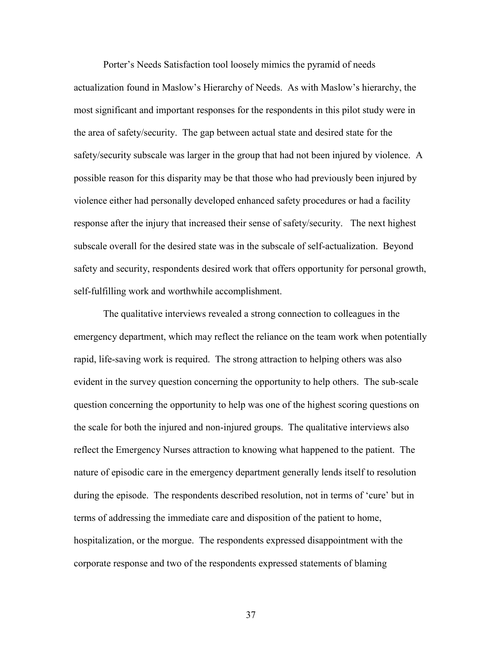Porter's Needs Satisfaction tool loosely mimics the pyramid of needs actualization found in Maslow's Hierarchy of Needs. As with Maslow's hierarchy, the most significant and important responses for the respondents in this pilot study were in the area of safety/security. The gap between actual state and desired state for the safety/security subscale was larger in the group that had not been injured by violence. A possible reason for this disparity may be that those who had previously been injured by violence either had personally developed enhanced safety procedures or had a facility response after the injury that increased their sense of safety/security. The next highest subscale overall for the desired state was in the subscale of self-actualization. Beyond safety and security, respondents desired work that offers opportunity for personal growth, self-fulfilling work and worthwhile accomplishment.

The qualitative interviews revealed a strong connection to colleagues in the emergency department, which may reflect the reliance on the team work when potentially rapid, life-saving work is required. The strong attraction to helping others was also evident in the survey question concerning the opportunity to help others. The sub-scale question concerning the opportunity to help was one of the highest scoring questions on the scale for both the injured and non-injured groups. The qualitative interviews also reflect the Emergency Nurses attraction to knowing what happened to the patient. The nature of episodic care in the emergency department generally lends itself to resolution during the episode. The respondents described resolution, not in terms of 'cure' but in terms of addressing the immediate care and disposition of the patient to home, hospitalization, or the morgue. The respondents expressed disappointment with the corporate response and two of the respondents expressed statements of blaming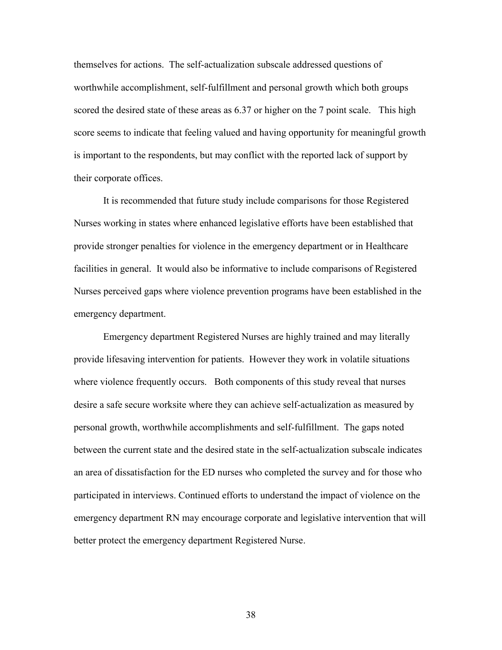themselves for actions. The self-actualization subscale addressed questions of worthwhile accomplishment, self-fulfillment and personal growth which both groups scored the desired state of these areas as 6.37 or higher on the 7 point scale. This high score seems to indicate that feeling valued and having opportunity for meaningful growth is important to the respondents, but may conflict with the reported lack of support by their corporate offices.

It is recommended that future study include comparisons for those Registered Nurses working in states where enhanced legislative efforts have been established that provide stronger penalties for violence in the emergency department or in Healthcare facilities in general. It would also be informative to include comparisons of Registered Nurses perceived gaps where violence prevention programs have been established in the emergency department.

Emergency department Registered Nurses are highly trained and may literally provide lifesaving intervention for patients. However they work in volatile situations where violence frequently occurs. Both components of this study reveal that nurses desire a safe secure worksite where they can achieve self-actualization as measured by personal growth, worthwhile accomplishments and self-fulfillment. The gaps noted between the current state and the desired state in the self-actualization subscale indicates an area of dissatisfaction for the ED nurses who completed the survey and for those who participated in interviews. Continued efforts to understand the impact of violence on the emergency department RN may encourage corporate and legislative intervention that will better protect the emergency department Registered Nurse.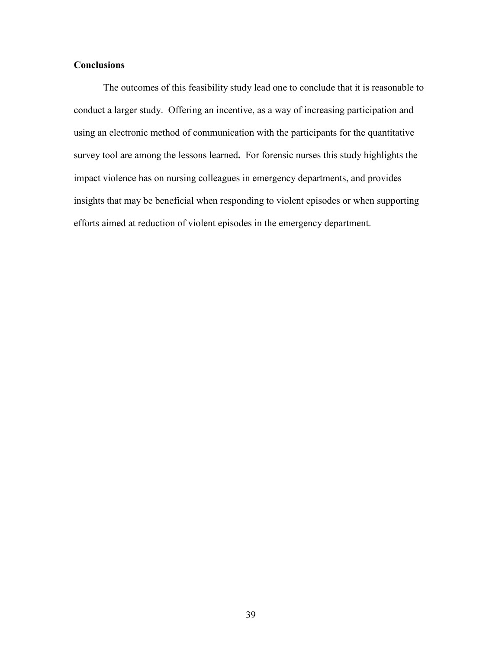# **Conclusions**

The outcomes of this feasibility study lead one to conclude that it is reasonable to conduct a larger study. Offering an incentive, as a way of increasing participation and using an electronic method of communication with the participants for the quantitative survey tool are among the lessons learned**.** For forensic nurses this study highlights the impact violence has on nursing colleagues in emergency departments, and provides insights that may be beneficial when responding to violent episodes or when supporting efforts aimed at reduction of violent episodes in the emergency department.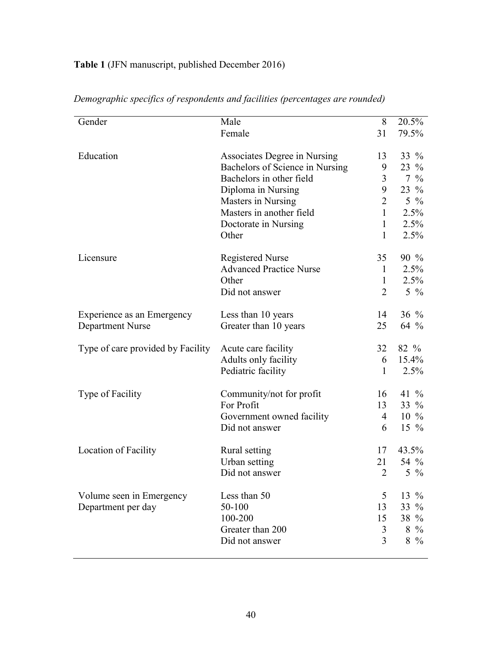# **Table 1** (JFN manuscript, published December 2016)

| Gender                            | Male                            | 8              | 20.5%            |
|-----------------------------------|---------------------------------|----------------|------------------|
|                                   | Female                          | 31             | 79.5%            |
|                                   |                                 |                |                  |
| Education                         | Associates Degree in Nursing    | 13             | 33 %             |
|                                   | Bachelors of Science in Nursing | 9              | $23\%$           |
|                                   | Bachelors in other field        | 3              | $7\frac{9}{6}$   |
|                                   | Diploma in Nursing              | 9              | $23\%$           |
|                                   | Masters in Nursing              | $\overline{2}$ | $5\%$            |
|                                   | Masters in another field        |                | 2.5%             |
|                                   | Doctorate in Nursing            | $\mathbf{1}$   | 2.5%             |
|                                   | Other                           | $\mathbf{1}$   | $2.5\%$          |
| Licensure                         | <b>Registered Nurse</b>         | 35             | 90 %             |
|                                   | <b>Advanced Practice Nurse</b>  | $\mathbf{1}$   | $2.5\%$          |
|                                   | Other                           | $\mathbf{1}$   | 2.5%             |
|                                   | Did not answer                  | $\overline{2}$ | $5\%$            |
| Experience as an Emergency        | Less than 10 years              | 14             | $36\%$           |
| <b>Department Nurse</b>           | Greater than 10 years           | 25             | 64 %             |
| Type of care provided by Facility | Acute care facility             | 32             | 82 %             |
|                                   | Adults only facility            | 6              | 15.4%            |
|                                   | Pediatric facility              | $\mathbf{1}$   | 2.5%             |
| Type of Facility                  | Community/not for profit        | 16             | 41 $\%$          |
|                                   | For Profit                      | 13             | $33\%$           |
|                                   | Government owned facility       | 4              | $10 \frac{9}{6}$ |
|                                   | Did not answer                  | 6              | $15\%$           |
| Location of Facility              | Rural setting                   | 17             | 43.5%            |
|                                   | Urban setting                   | 21             | 54 %             |
|                                   | Did not answer                  | 2              | $5\%$            |
|                                   |                                 |                |                  |
| Volume seen in Emergency          | Less than 50                    | 5              | 13 $%$           |
| Department per day                | 50-100                          | 13             | $33\%$           |
|                                   | 100-200                         | 15             | 38 %             |
|                                   | Greater than 200                | 3              | $8\%$            |
|                                   | Did not answer                  | 3              | $8\%$            |
|                                   |                                 |                |                  |

# *Demographic specifics of respondents and facilities (percentages are rounded)*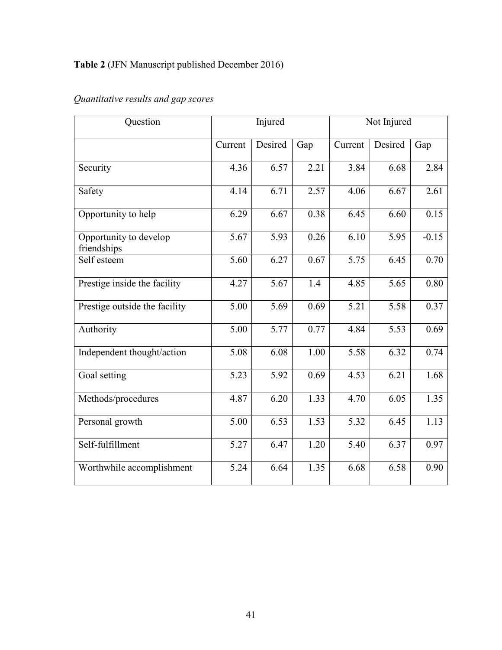# **Table 2** (JFN Manuscript published December 2016)

| Question                              | Injured |         |      | Not Injured |         |         |
|---------------------------------------|---------|---------|------|-------------|---------|---------|
|                                       | Current | Desired | Gap  | Current     | Desired | Gap     |
| Security                              | 4.36    | 6.57    | 2.21 | 3.84        | 6.68    | 2.84    |
| Safety                                | 4.14    | 6.71    | 2.57 | 4.06        | 6.67    | 2.61    |
| Opportunity to help                   | 6.29    | 6.67    | 0.38 | 6.45        | 6.60    | 0.15    |
| Opportunity to develop<br>friendships | 5.67    | 5.93    | 0.26 | 6.10        | 5.95    | $-0.15$ |
| Self esteem                           | 5.60    | 6.27    | 0.67 | 5.75        | 6.45    | 0.70    |
| Prestige inside the facility          | 4.27    | 5.67    | 1.4  | 4.85        | 5.65    | 0.80    |
| Prestige outside the facility         | 5.00    | 5.69    | 0.69 | 5.21        | 5.58    | 0.37    |
| Authority                             | 5.00    | 5.77    | 0.77 | 4.84        | 5.53    | 0.69    |
| Independent thought/action            | 5.08    | 6.08    | 1.00 | 5.58        | 6.32    | 0.74    |
| Goal setting                          | 5.23    | 5.92    | 0.69 | 4.53        | 6.21    | 1.68    |
| Methods/procedures                    | 4.87    | 6.20    | 1.33 | 4.70        | 6.05    | 1.35    |
| Personal growth                       | 5.00    | 6.53    | 1.53 | 5.32        | 6.45    | 1.13    |
| Self-fulfillment                      | 5.27    | 6.47    | 1.20 | 5.40        | 6.37    | 0.97    |
| Worthwhile accomplishment             | 5.24    | 6.64    | 1.35 | 6.68        | 6.58    | 0.90    |

# *Quantitative results and gap scores*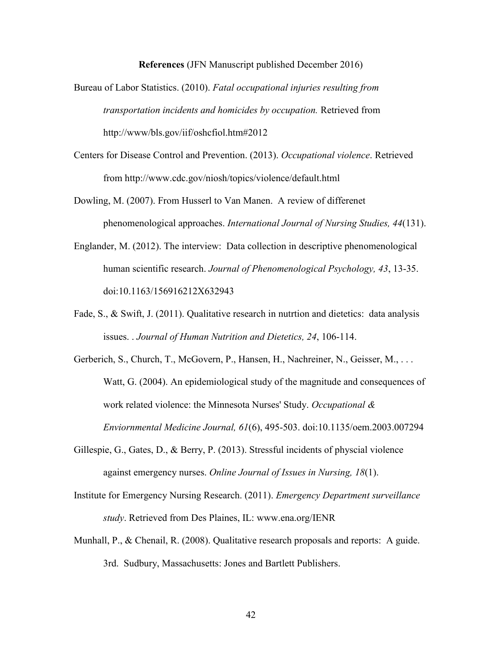**References** (JFN Manuscript published December 2016)

- Bureau of Labor Statistics. (2010). *Fatal occupational injuries resulting from transportation incidents and homicides by occupation.* Retrieved from http://www/bls.gov/iif/oshcfiol.htm#2012
- Centers for Disease Control and Prevention. (2013). *Occupational violence*. Retrieved from http://www.cdc.gov/niosh/topics/violence/default.html
- Dowling, M. (2007). From Husserl to Van Manen. A review of differenet phenomenological approaches. *International Journal of Nursing Studies, 44*(131).
- Englander, M. (2012). The interview: Data collection in descriptive phenomenological human scientific research. *Journal of Phenomenological Psychology, 43*, 13-35. doi:10.1163/156916212X632943
- Fade, S., & Swift, J. (2011). Qualitative research in nutrtion and dietetics: data analysis issues. . *Journal of Human Nutrition and Dietetics, 24*, 106-114.
- Gerberich, S., Church, T., McGovern, P., Hansen, H., Nachreiner, N., Geisser, M., . . . Watt, G. (2004). An epidemiological study of the magnitude and consequences of work related violence: the Minnesota Nurses' Study. *Occupational & Enviornmental Medicine Journal, 61*(6), 495-503. doi:10.1135/oem.2003.007294
- Gillespie, G., Gates, D., & Berry, P. (2013). Stressful incidents of physcial violence against emergency nurses. *Online Journal of Issues in Nursing, 18*(1).
- Institute for Emergency Nursing Research. (2011). *Emergency Department surveillance study*. Retrieved from Des Plaines, IL: www.ena.org/IENR
- Munhall, P., & Chenail, R. (2008). Qualitative research proposals and reports: A guide. 3rd. Sudbury, Massachusetts: Jones and Bartlett Publishers.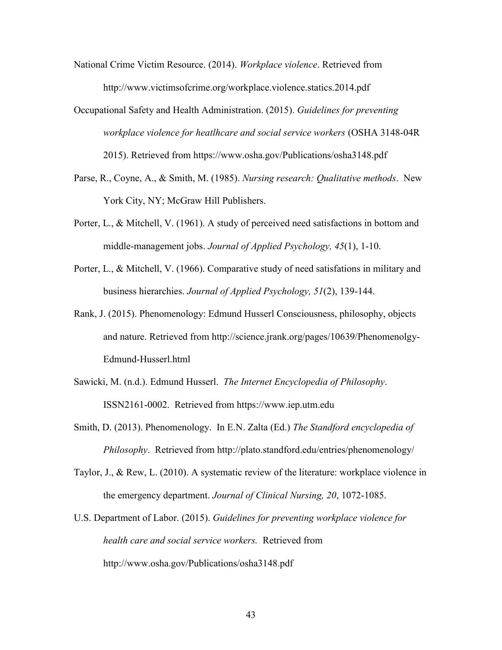- National Crime Victim Resource. (2014). *Workplace violence*. Retrieved from http://www.victimsofcrime.org/workplace.violence.statics.2014.pdf
- Occupational Safety and Health Administration. (2015). *Guidelines for preventing workplace violence for heatlhcare and social service workers* (OSHA 3148-04R 2015). Retrieved from https://www.osha.gov/Publications/osha3148.pdf
- Parse, R., Coyne, A., & Smith, M. (1985). *Nursing research: Qualitative methods*. New York City, NY; McGraw Hill Publishers.
- Porter, L., & Mitchell, V. (1961). A study of perceived need satisfactions in bottom and middle-management jobs. *Journal of Applied Psychology, 45*(1), 1-10.
- Porter, L., & Mitchell, V. (1966). Comparative study of need satisfations in military and business hierarchies. *Journal of Applied Psychology, 51*(2), 139-144.
- Rank, J. (2015). Phenomenology: Edmund Husserl Consciousness, philosophy, objects and nature. Retrieved from http://science.jrank.org/pages/10639/Phenomenolgy-Edmund-Husserl.html
- Sawicki, M. (n.d.). Edmund Husserl. *The Internet Encyclopedia of Philosophy*. ISSN2161-0002. Retrieved from https://www.iep.utm.edu
- Smith, D. (2013). Phenomenology. In E.N. Zalta (Ed.) *The Standford encyclopedia of Philosophy*. Retrieved from http://plato.standford.edu/entries/phenomenology/
- Taylor, J., & Rew, L. (2010). A systematic review of the literature: workplace violence in the emergency department. *Journal of Clinical Nursing, 20*, 1072-1085.
- U.S. Department of Labor. (2015). *Guidelines for preventing workplace violence for health care and social service workers.* Retrieved from http://www.osha.gov/Publications/osha3148.pdf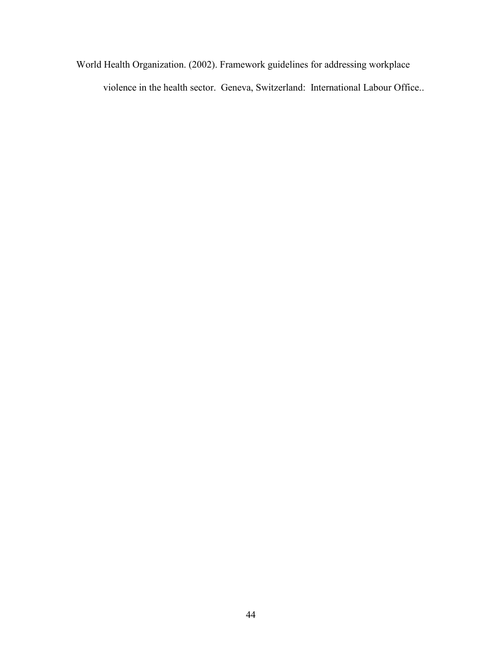World Health Organization. (2002). Framework guidelines for addressing workplace violence in the health sector. Geneva, Switzerland: International Labour Office..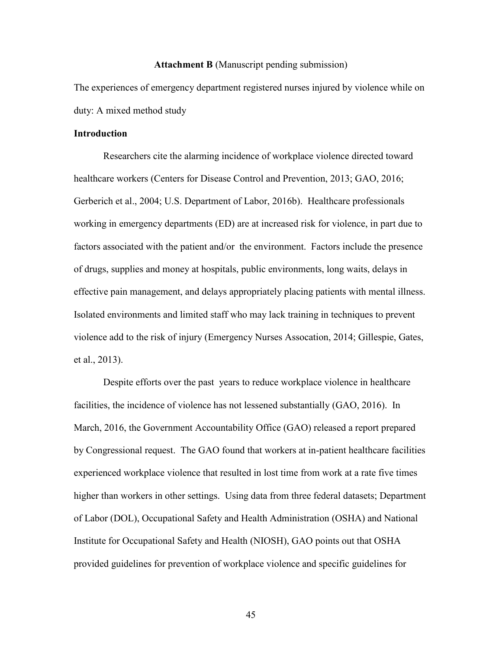#### **Attachment B** (Manuscript pending submission)

The experiences of emergency department registered nurses injured by violence while on duty: A mixed method study

#### **Introduction**

Researchers cite the alarming incidence of workplace violence directed toward healthcare workers (Centers for Disease Control and Prevention, 2013; GAO, 2016; Gerberich et al., 2004; U.S. Department of Labor, 2016b). Healthcare professionals working in emergency departments (ED) are at increased risk for violence, in part due to factors associated with the patient and/or the environment. Factors include the presence of drugs, supplies and money at hospitals, public environments, long waits, delays in effective pain management, and delays appropriately placing patients with mental illness. Isolated environments and limited staff who may lack training in techniques to prevent violence add to the risk of injury (Emergency Nurses Assocation, 2014; Gillespie, Gates, et al., 2013).

Despite efforts over the past years to reduce workplace violence in healthcare facilities, the incidence of violence has not lessened substantially (GAO, 2016). In March, 2016, the Government Accountability Office (GAO) released a report prepared by Congressional request. The GAO found that workers at in-patient healthcare facilities experienced workplace violence that resulted in lost time from work at a rate five times higher than workers in other settings. Using data from three federal datasets; Department of Labor (DOL), Occupational Safety and Health Administration (OSHA) and National Institute for Occupational Safety and Health (NIOSH), GAO points out that OSHA provided guidelines for prevention of workplace violence and specific guidelines for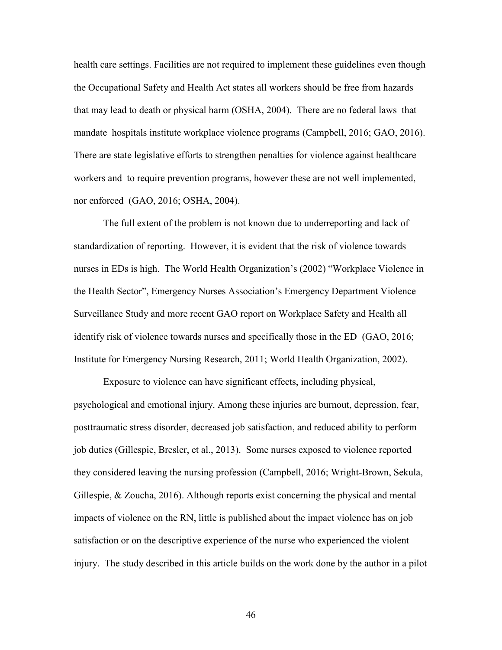health care settings. Facilities are not required to implement these guidelines even though the Occupational Safety and Health Act states all workers should be free from hazards that may lead to death or physical harm (OSHA, 2004). There are no federal laws that mandate hospitals institute workplace violence programs (Campbell, 2016; GAO, 2016). There are state legislative efforts to strengthen penalties for violence against healthcare workers and to require prevention programs, however these are not well implemented, nor enforced (GAO, 2016; OSHA, 2004).

The full extent of the problem is not known due to underreporting and lack of standardization of reporting. However, it is evident that the risk of violence towards nurses in EDs is high. The World Health Organization's (2002) "Workplace Violence in the Health Sector", Emergency Nurses Association's Emergency Department Violence Surveillance Study and more recent GAO report on Workplace Safety and Health all identify risk of violence towards nurses and specifically those in the ED (GAO, 2016; Institute for Emergency Nursing Research, 2011; World Health Organization, 2002).

Exposure to violence can have significant effects, including physical, psychological and emotional injury. Among these injuries are burnout, depression, fear, posttraumatic stress disorder, decreased job satisfaction, and reduced ability to perform job duties (Gillespie, Bresler, et al., 2013). Some nurses exposed to violence reported they considered leaving the nursing profession (Campbell, 2016; Wright-Brown, Sekula, Gillespie, & Zoucha, 2016). Although reports exist concerning the physical and mental impacts of violence on the RN, little is published about the impact violence has on job satisfaction or on the descriptive experience of the nurse who experienced the violent injury. The study described in this article builds on the work done by the author in a pilot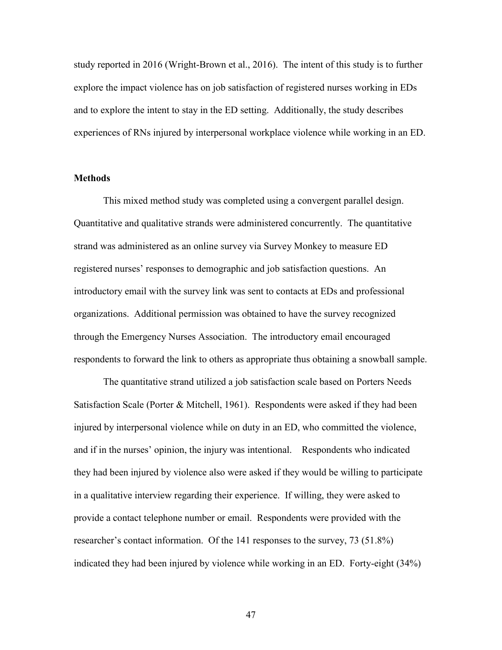study reported in 2016 (Wright-Brown et al., 2016). The intent of this study is to further explore the impact violence has on job satisfaction of registered nurses working in EDs and to explore the intent to stay in the ED setting. Additionally, the study describes experiences of RNs injured by interpersonal workplace violence while working in an ED.

#### **Methods**

This mixed method study was completed using a convergent parallel design. Quantitative and qualitative strands were administered concurrently. The quantitative strand was administered as an online survey via Survey Monkey to measure ED registered nurses' responses to demographic and job satisfaction questions. An introductory email with the survey link was sent to contacts at EDs and professional organizations. Additional permission was obtained to have the survey recognized through the Emergency Nurses Association. The introductory email encouraged respondents to forward the link to others as appropriate thus obtaining a snowball sample.

The quantitative strand utilized a job satisfaction scale based on Porters Needs Satisfaction Scale (Porter & Mitchell, 1961). Respondents were asked if they had been injured by interpersonal violence while on duty in an ED, who committed the violence, and if in the nurses' opinion, the injury was intentional. Respondents who indicated they had been injured by violence also were asked if they would be willing to participate in a qualitative interview regarding their experience. If willing, they were asked to provide a contact telephone number or email. Respondents were provided with the researcher's contact information. Of the 141 responses to the survey, 73 (51.8%) indicated they had been injured by violence while working in an ED. Forty-eight (34%)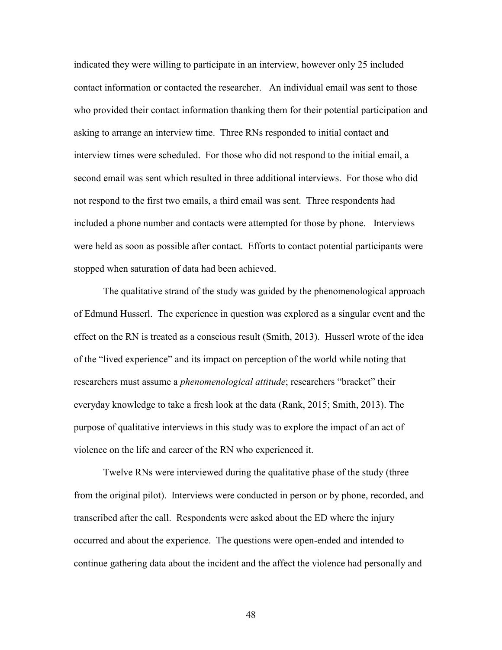indicated they were willing to participate in an interview, however only 25 included contact information or contacted the researcher. An individual email was sent to those who provided their contact information thanking them for their potential participation and asking to arrange an interview time. Three RNs responded to initial contact and interview times were scheduled. For those who did not respond to the initial email, a second email was sent which resulted in three additional interviews. For those who did not respond to the first two emails, a third email was sent. Three respondents had included a phone number and contacts were attempted for those by phone. Interviews were held as soon as possible after contact. Efforts to contact potential participants were stopped when saturation of data had been achieved.

The qualitative strand of the study was guided by the phenomenological approach of Edmund Husserl. The experience in question was explored as a singular event and the effect on the RN is treated as a conscious result (Smith, 2013). Husserl wrote of the idea of the "lived experience" and its impact on perception of the world while noting that researchers must assume a *phenomenological attitude*; researchers "bracket" their everyday knowledge to take a fresh look at the data (Rank, 2015; Smith, 2013). The purpose of qualitative interviews in this study was to explore the impact of an act of violence on the life and career of the RN who experienced it.

Twelve RNs were interviewed during the qualitative phase of the study (three from the original pilot). Interviews were conducted in person or by phone, recorded, and transcribed after the call. Respondents were asked about the ED where the injury occurred and about the experience. The questions were open-ended and intended to continue gathering data about the incident and the affect the violence had personally and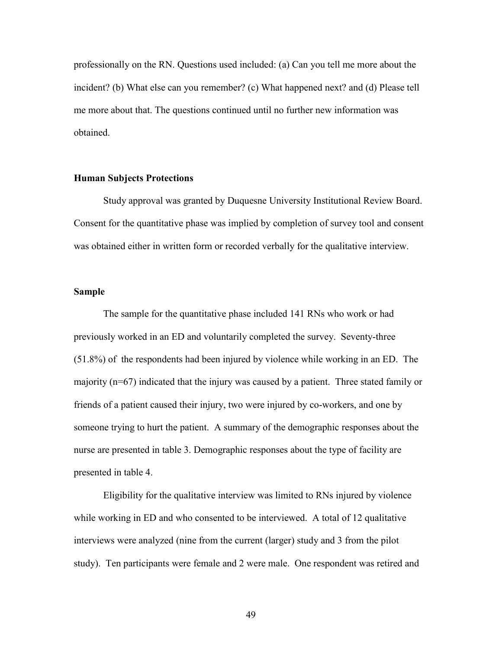professionally on the RN. Questions used included: (a) Can you tell me more about the incident? (b) What else can you remember? (c) What happened next? and (d) Please tell me more about that. The questions continued until no further new information was obtained.

### **Human Subjects Protections**

Study approval was granted by Duquesne University Institutional Review Board. Consent for the quantitative phase was implied by completion of survey tool and consent was obtained either in written form or recorded verbally for the qualitative interview.

#### **Sample**

The sample for the quantitative phase included 141 RNs who work or had previously worked in an ED and voluntarily completed the survey. Seventy-three (51.8%) of the respondents had been injured by violence while working in an ED. The majority (n=67) indicated that the injury was caused by a patient. Three stated family or friends of a patient caused their injury, two were injured by co-workers, and one by someone trying to hurt the patient. A summary of the demographic responses about the nurse are presented in table 3. Demographic responses about the type of facility are presented in table 4.

Eligibility for the qualitative interview was limited to RNs injured by violence while working in ED and who consented to be interviewed. A total of 12 qualitative interviews were analyzed (nine from the current (larger) study and 3 from the pilot study). Ten participants were female and 2 were male. One respondent was retired and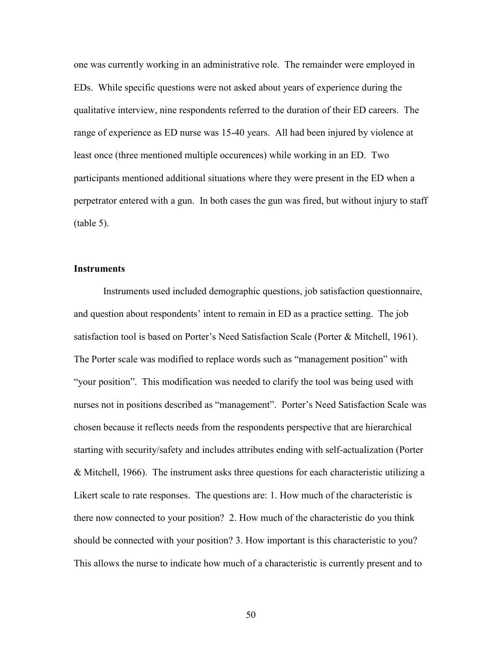one was currently working in an administrative role. The remainder were employed in EDs. While specific questions were not asked about years of experience during the qualitative interview, nine respondents referred to the duration of their ED careers. The range of experience as ED nurse was 15-40 years. All had been injured by violence at least once (three mentioned multiple occurences) while working in an ED. Two participants mentioned additional situations where they were present in the ED when a perpetrator entered with a gun. In both cases the gun was fired, but without injury to staff (table 5).

# **Instruments**

Instruments used included demographic questions, job satisfaction questionnaire, and question about respondents' intent to remain in ED as a practice setting. The job satisfaction tool is based on Porter's Need Satisfaction Scale (Porter & Mitchell, 1961). The Porter scale was modified to replace words such as "management position" with "your position". This modification was needed to clarify the tool was being used with nurses not in positions described as "management". Porter's Need Satisfaction Scale was chosen because it reflects needs from the respondents perspective that are hierarchical starting with security/safety and includes attributes ending with self-actualization (Porter & Mitchell, 1966). The instrument asks three questions for each characteristic utilizing a Likert scale to rate responses. The questions are: 1. How much of the characteristic is there now connected to your position? 2. How much of the characteristic do you think should be connected with your position? 3. How important is this characteristic to you? This allows the nurse to indicate how much of a characteristic is currently present and to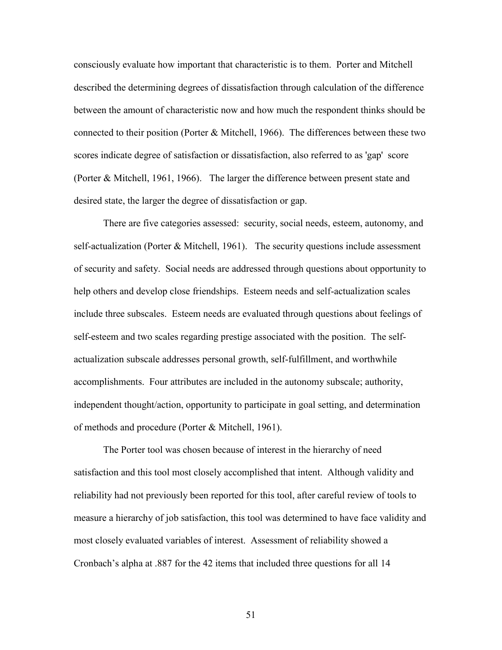consciously evaluate how important that characteristic is to them. Porter and Mitchell described the determining degrees of dissatisfaction through calculation of the difference between the amount of characteristic now and how much the respondent thinks should be connected to their position (Porter & Mitchell, 1966). The differences between these two scores indicate degree of satisfaction or dissatisfaction, also referred to as 'gap' score (Porter & Mitchell, 1961, 1966). The larger the difference between present state and desired state, the larger the degree of dissatisfaction or gap.

There are five categories assessed: security, social needs, esteem, autonomy, and self-actualization (Porter & Mitchell, 1961). The security questions include assessment of security and safety. Social needs are addressed through questions about opportunity to help others and develop close friendships. Esteem needs and self-actualization scales include three subscales. Esteem needs are evaluated through questions about feelings of self-esteem and two scales regarding prestige associated with the position. The selfactualization subscale addresses personal growth, self-fulfillment, and worthwhile accomplishments. Four attributes are included in the autonomy subscale; authority, independent thought/action, opportunity to participate in goal setting, and determination of methods and procedure (Porter & Mitchell, 1961).

The Porter tool was chosen because of interest in the hierarchy of need satisfaction and this tool most closely accomplished that intent. Although validity and reliability had not previously been reported for this tool, after careful review of tools to measure a hierarchy of job satisfaction, this tool was determined to have face validity and most closely evaluated variables of interest. Assessment of reliability showed a Cronbach's alpha at .887 for the 42 items that included three questions for all 14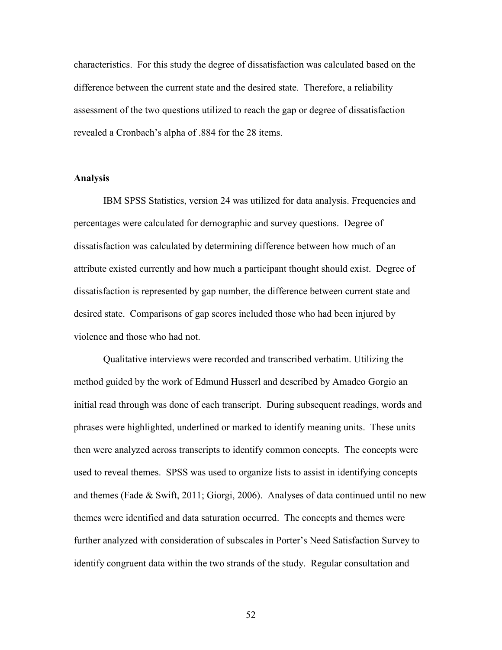characteristics. For this study the degree of dissatisfaction was calculated based on the difference between the current state and the desired state. Therefore, a reliability assessment of the two questions utilized to reach the gap or degree of dissatisfaction revealed a Cronbach's alpha of .884 for the 28 items.

# **Analysis**

IBM SPSS Statistics, version 24 was utilized for data analysis. Frequencies and percentages were calculated for demographic and survey questions. Degree of dissatisfaction was calculated by determining difference between how much of an attribute existed currently and how much a participant thought should exist. Degree of dissatisfaction is represented by gap number, the difference between current state and desired state. Comparisons of gap scores included those who had been injured by violence and those who had not.

Qualitative interviews were recorded and transcribed verbatim. Utilizing the method guided by the work of Edmund Husserl and described by Amadeo Gorgio an initial read through was done of each transcript. During subsequent readings, words and phrases were highlighted, underlined or marked to identify meaning units. These units then were analyzed across transcripts to identify common concepts. The concepts were used to reveal themes. SPSS was used to organize lists to assist in identifying concepts and themes (Fade & Swift, 2011; Giorgi, 2006). Analyses of data continued until no new themes were identified and data saturation occurred. The concepts and themes were further analyzed with consideration of subscales in Porter's Need Satisfaction Survey to identify congruent data within the two strands of the study. Regular consultation and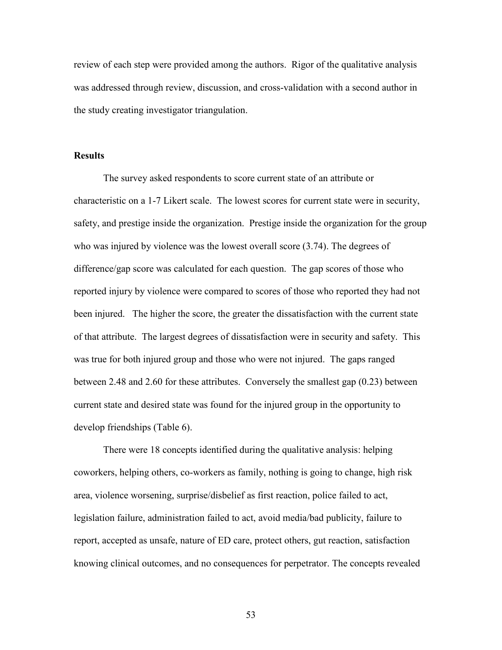review of each step were provided among the authors. Rigor of the qualitative analysis was addressed through review, discussion, and cross-validation with a second author in the study creating investigator triangulation.

### **Results**

The survey asked respondents to score current state of an attribute or characteristic on a 1-7 Likert scale. The lowest scores for current state were in security, safety, and prestige inside the organization. Prestige inside the organization for the group who was injured by violence was the lowest overall score (3.74). The degrees of difference/gap score was calculated for each question. The gap scores of those who reported injury by violence were compared to scores of those who reported they had not been injured. The higher the score, the greater the dissatisfaction with the current state of that attribute. The largest degrees of dissatisfaction were in security and safety. This was true for both injured group and those who were not injured. The gaps ranged between 2.48 and 2.60 for these attributes. Conversely the smallest gap (0.23) between current state and desired state was found for the injured group in the opportunity to develop friendships (Table 6).

There were 18 concepts identified during the qualitative analysis: helping coworkers, helping others, co-workers as family, nothing is going to change, high risk area, violence worsening, surprise/disbelief as first reaction, police failed to act, legislation failure, administration failed to act, avoid media/bad publicity, failure to report, accepted as unsafe, nature of ED care, protect others, gut reaction, satisfaction knowing clinical outcomes, and no consequences for perpetrator. The concepts revealed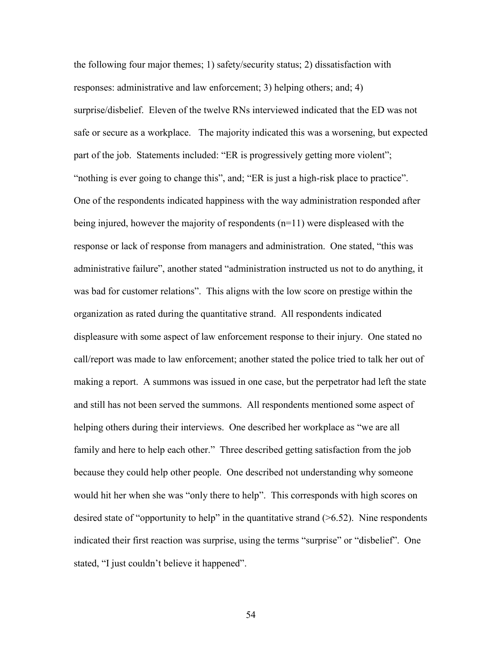the following four major themes; 1) safety/security status; 2) dissatisfaction with responses: administrative and law enforcement; 3) helping others; and; 4) surprise/disbelief. Eleven of the twelve RNs interviewed indicated that the ED was not safe or secure as a workplace. The majority indicated this was a worsening, but expected part of the job. Statements included: "ER is progressively getting more violent"; "nothing is ever going to change this", and; "ER is just a high-risk place to practice". One of the respondents indicated happiness with the way administration responded after being injured, however the majority of respondents (n=11) were displeased with the response or lack of response from managers and administration. One stated, "this was administrative failure", another stated "administration instructed us not to do anything, it was bad for customer relations". This aligns with the low score on prestige within the organization as rated during the quantitative strand. All respondents indicated displeasure with some aspect of law enforcement response to their injury. One stated no call/report was made to law enforcement; another stated the police tried to talk her out of making a report. A summons was issued in one case, but the perpetrator had left the state and still has not been served the summons. All respondents mentioned some aspect of helping others during their interviews. One described her workplace as "we are all family and here to help each other." Three described getting satisfaction from the job because they could help other people. One described not understanding why someone would hit her when she was "only there to help". This corresponds with high scores on desired state of "opportunity to help" in the quantitative strand  $($ >6.52). Nine respondents indicated their first reaction was surprise, using the terms "surprise" or "disbelief". One stated, "I just couldn't believe it happened".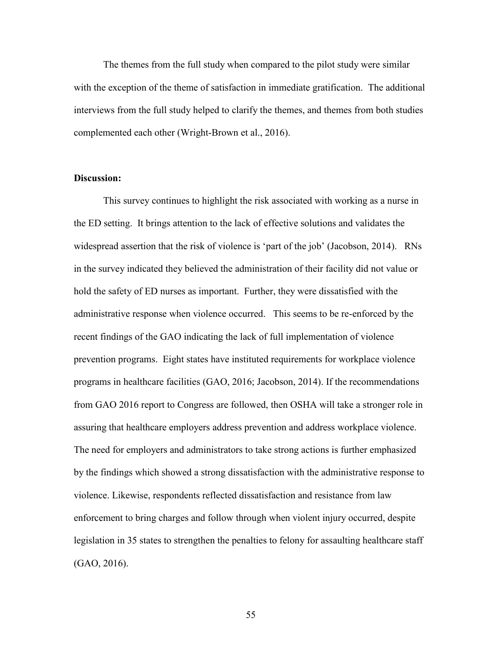The themes from the full study when compared to the pilot study were similar with the exception of the theme of satisfaction in immediate gratification. The additional interviews from the full study helped to clarify the themes, and themes from both studies complemented each other (Wright-Brown et al., 2016).

#### **Discussion:**

This survey continues to highlight the risk associated with working as a nurse in the ED setting. It brings attention to the lack of effective solutions and validates the widespread assertion that the risk of violence is 'part of the job' (Jacobson, 2014). RNs in the survey indicated they believed the administration of their facility did not value or hold the safety of ED nurses as important. Further, they were dissatisfied with the administrative response when violence occurred. This seems to be re-enforced by the recent findings of the GAO indicating the lack of full implementation of violence prevention programs. Eight states have instituted requirements for workplace violence programs in healthcare facilities (GAO, 2016; Jacobson, 2014). If the recommendations from GAO 2016 report to Congress are followed, then OSHA will take a stronger role in assuring that healthcare employers address prevention and address workplace violence. The need for employers and administrators to take strong actions is further emphasized by the findings which showed a strong dissatisfaction with the administrative response to violence. Likewise, respondents reflected dissatisfaction and resistance from law enforcement to bring charges and follow through when violent injury occurred, despite legislation in 35 states to strengthen the penalties to felony for assaulting healthcare staff (GAO, 2016).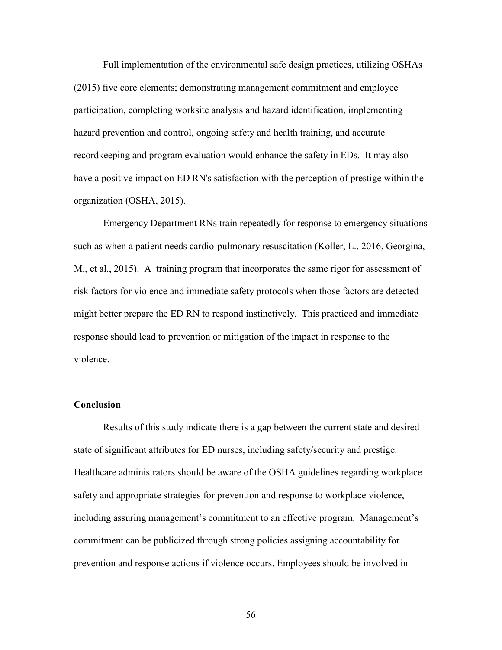Full implementation of the environmental safe design practices, utilizing OSHAs (2015) five core elements; demonstrating management commitment and employee participation, completing worksite analysis and hazard identification, implementing hazard prevention and control, ongoing safety and health training, and accurate recordkeeping and program evaluation would enhance the safety in EDs. It may also have a positive impact on ED RN's satisfaction with the perception of prestige within the organization (OSHA, 2015).

Emergency Department RNs train repeatedly for response to emergency situations such as when a patient needs cardio-pulmonary resuscitation (Koller, L., 2016, Georgina, M., et al., 2015). A training program that incorporates the same rigor for assessment of risk factors for violence and immediate safety protocols when those factors are detected might better prepare the ED RN to respond instinctively. This practiced and immediate response should lead to prevention or mitigation of the impact in response to the violence.

# **Conclusion**

Results of this study indicate there is a gap between the current state and desired state of significant attributes for ED nurses, including safety/security and prestige. Healthcare administrators should be aware of the OSHA guidelines regarding workplace safety and appropriate strategies for prevention and response to workplace violence, including assuring management's commitment to an effective program. Management's commitment can be publicized through strong policies assigning accountability for prevention and response actions if violence occurs. Employees should be involved in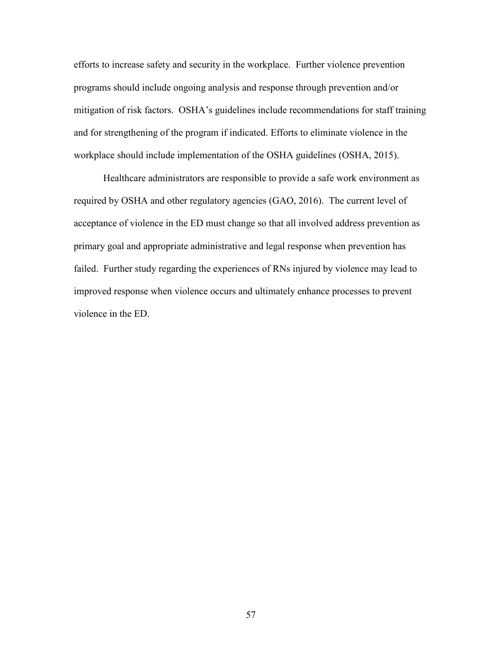efforts to increase safety and security in the workplace. Further violence prevention programs should include ongoing analysis and response through prevention and/or mitigation of risk factors. OSHA's guidelines include recommendations for staff training and for strengthening of the program if indicated. Efforts to eliminate violence in the workplace should include implementation of the OSHA guidelines (OSHA, 2015).

Healthcare administrators are responsible to provide a safe work environment as required by OSHA and other regulatory agencies (GAO, 2016). The current level of acceptance of violence in the ED must change so that all involved address prevention as primary goal and appropriate administrative and legal response when prevention has failed. Further study regarding the experiences of RNs injured by violence may lead to improved response when violence occurs and ultimately enhance processes to prevent violence in the ED.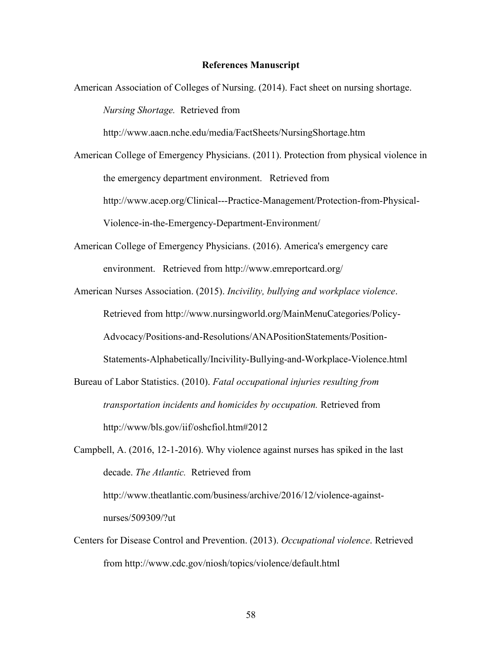#### **References Manuscript**

American Association of Colleges of Nursing. (2014). Fact sheet on nursing shortage. *Nursing Shortage.* Retrieved from http://www.aacn.nche.edu/media/FactSheets/NursingShortage.htm American College of Emergency Physicians. (2011). Protection from physical violence in the emergency department environment. Retrieved from

http://www.acep.org/Clinical---Practice-Management/Protection-from-Physical-Violence-in-the-Emergency-Department-Environment/

- American College of Emergency Physicians. (2016). America's emergency care environment. Retrieved from http://www.emreportcard.org/
- American Nurses Association. (2015). *Incivility, bullying and workplace violence*. Retrieved from http://www.nursingworld.org/MainMenuCategories/Policy-Advocacy/Positions-and-Resolutions/ANAPositionStatements/Position-Statements-Alphabetically/Incivility-Bullying-and-Workplace-Violence.html
- Bureau of Labor Statistics. (2010). *Fatal occupational injuries resulting from transportation incidents and homicides by occupation.* Retrieved from http://www/bls.gov/iif/oshcfiol.htm#2012

Campbell, A. (2016, 12-1-2016). Why violence against nurses has spiked in the last decade. *The Atlantic.* Retrieved from http://www.theatlantic.com/business/archive/2016/12/violence-against-

nurses/509309/?ut

Centers for Disease Control and Prevention. (2013). *Occupational violence*. Retrieved from http://www.cdc.gov/niosh/topics/violence/default.html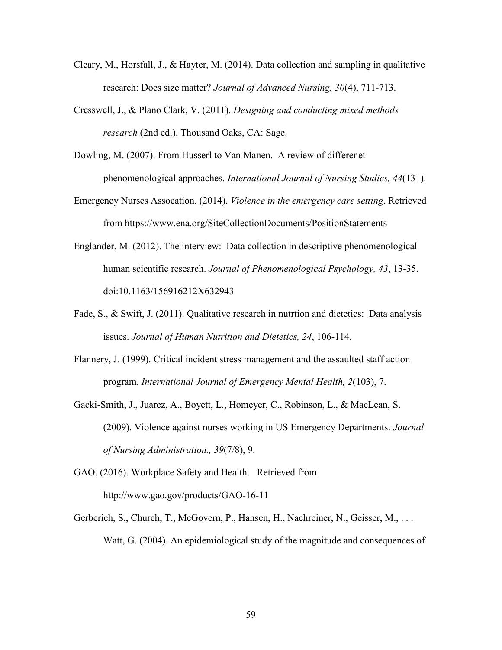- Cleary, M., Horsfall, J., & Hayter, M. (2014). Data collection and sampling in qualitative research: Does size matter? *Journal of Advanced Nursing, 30*(4), 711-713.
- Cresswell, J., & Plano Clark, V. (2011). *Designing and conducting mixed methods research* (2nd ed.). Thousand Oaks, CA: Sage.
- Dowling, M. (2007). From Husserl to Van Manen. A review of differenet phenomenological approaches. *International Journal of Nursing Studies, 44*(131).
- Emergency Nurses Assocation. (2014). *Violence in the emergency care setting*. Retrieved from https://www.ena.org/SiteCollectionDocuments/PositionStatements
- Englander, M. (2012). The interview: Data collection in descriptive phenomenological human scientific research. *Journal of Phenomenological Psychology, 43*, 13-35. doi:10.1163/156916212X632943
- Fade, S., & Swift, J. (2011). Qualitative research in nutrtion and dietetics: Data analysis issues. *Journal of Human Nutrition and Dietetics, 24*, 106-114.
- Flannery, J. (1999). Critical incident stress management and the assaulted staff action program. *International Journal of Emergency Mental Health, 2*(103), 7.
- Gacki-Smith, J., Juarez, A., Boyett, L., Homeyer, C., Robinson, L., & MacLean, S. (2009). Violence against nurses working in US Emergency Departments. *Journal of Nursing Administration., 39*(7/8), 9.
- GAO. (2016). Workplace Safety and Health. Retrieved from http://www.gao.gov/products/GAO-16-11
- Gerberich, S., Church, T., McGovern, P., Hansen, H., Nachreiner, N., Geisser, M., ... Watt, G. (2004). An epidemiological study of the magnitude and consequences of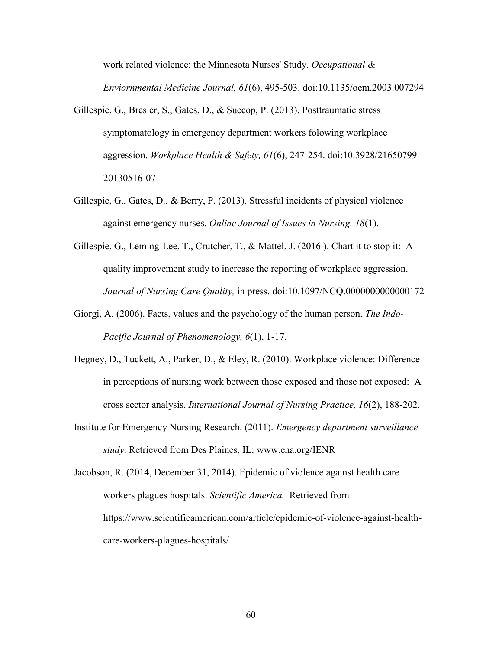work related violence: the Minnesota Nurses' Study. *Occupational & Enviornmental Medicine Journal, 61*(6), 495-503. doi:10.1135/oem.2003.007294

- Gillespie, G., Bresler, S., Gates, D., & Succop, P. (2013). Posttraumatic stress symptomatology in emergency department workers folowing workplace aggression. *Workplace Health & Safety, 61*(6), 247-254. doi:10.3928/21650799- 20130516-07
- Gillespie, G., Gates, D., & Berry, P. (2013). Stressful incidents of physical violence against emergency nurses. *Online Journal of Issues in Nursing, 18*(1).
- Gillespie, G., Leming-Lee, T., Crutcher, T., & Mattel, J. (2016). Chart it to stop it: A quality improvement study to increase the reporting of workplace aggression. *Journal of Nursing Care Quality,* in press. doi:10.1097/NCQ.0000000000000172
- Giorgi, A. (2006). Facts, values and the psychology of the human person. *The Indo-Pacific Journal of Phenomenology, 6*(1), 1-17.
- Hegney, D., Tuckett, A., Parker, D., & Eley, R. (2010). Workplace violence: Difference in perceptions of nursing work between those exposed and those not exposed: A cross sector analysis. *International Journal of Nursing Practice, 16*(2), 188-202.
- Institute for Emergency Nursing Research. (2011). *Emergency department surveillance study*. Retrieved from Des Plaines, IL: www.ena.org/IENR

Jacobson, R. (2014, December 31, 2014). Epidemic of violence against health care workers plagues hospitals. *Scientific America.* Retrieved from https://www.scientificamerican.com/article/epidemic-of-violence-against-healthcare-workers-plagues-hospitals/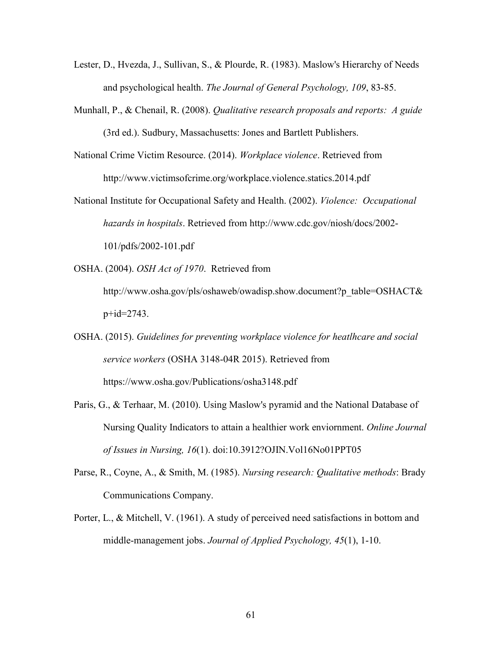- Lester, D., Hvezda, J., Sullivan, S., & Plourde, R. (1983). Maslow's Hierarchy of Needs and psychological health. *The Journal of General Psychology, 109*, 83-85.
- Munhall, P., & Chenail, R. (2008). *Qualitative research proposals and reports: A guide* (3rd ed.). Sudbury, Massachusetts: Jones and Bartlett Publishers.
- National Crime Victim Resource. (2014). *Workplace violence*. Retrieved from http://www.victimsofcrime.org/workplace.violence.statics.2014.pdf
- National Institute for Occupational Safety and Health. (2002). *Violence: Occupational hazards in hospitals*. Retrieved from http://www.cdc.gov/niosh/docs/2002- 101/pdfs/2002-101.pdf
- OSHA. (2004). *OSH Act of 1970*. Retrieved from
	- http://www.osha.gov/pls/oshaweb/owadisp.show.document?p\_table=OSHACT&  $p+id=2743$ .
- OSHA. (2015). *Guidelines for preventing workplace violence for heatlhcare and social service workers* (OSHA 3148-04R 2015). Retrieved from https://www.osha.gov/Publications/osha3148.pdf
- Paris, G., & Terhaar, M. (2010). Using Maslow's pyramid and the National Database of Nursing Quality Indicators to attain a healthier work enviornment. *Online Journal of Issues in Nursing, 16*(1). doi:10.3912?OJIN.Vol16No01PPT05
- Parse, R., Coyne, A., & Smith, M. (1985). *Nursing research: Qualitative methods*: Brady Communications Company.
- Porter, L., & Mitchell, V. (1961). A study of perceived need satisfactions in bottom and middle-management jobs. *Journal of Applied Psychology, 45*(1), 1-10.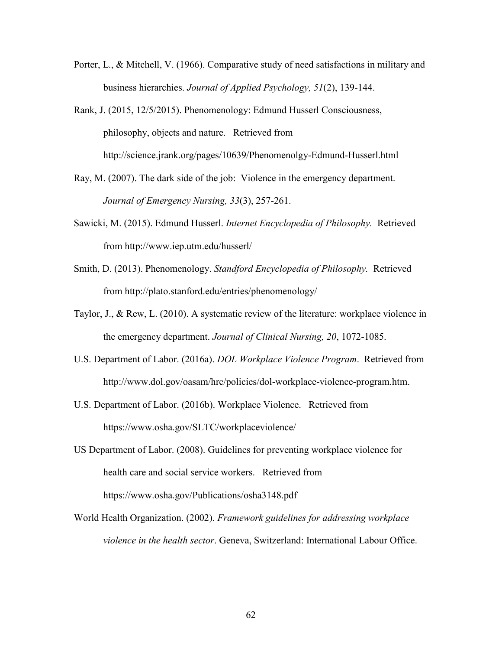- Porter, L., & Mitchell, V. (1966). Comparative study of need satisfactions in military and business hierarchies. *Journal of Applied Psychology, 51*(2), 139-144.
- Rank, J. (2015, 12/5/2015). Phenomenology: Edmund Husserl Consciousness, philosophy, objects and nature. Retrieved from http://science.jrank.org/pages/10639/Phenomenolgy-Edmund-Husserl.html
- Ray, M. (2007). The dark side of the job: Violence in the emergency department. *Journal of Emergency Nursing, 33*(3), 257-261.
- Sawicki, M. (2015). Edmund Husserl. *Internet Encyclopedia of Philosophy.* Retrieved from http://www.iep.utm.edu/husserl/
- Smith, D. (2013). Phenomenology. *Standford Encyclopedia of Philosophy.* Retrieved from http://plato.stanford.edu/entries/phenomenology/
- Taylor, J., & Rew, L. (2010). A systematic review of the literature: workplace violence in the emergency department. *Journal of Clinical Nursing, 20*, 1072-1085.
- U.S. Department of Labor. (2016a). *DOL Workplace Violence Program*. Retrieved from http://www.dol.gov/oasam/hrc/policies/dol-workplace-violence-program.htm.
- U.S. Department of Labor. (2016b). Workplace Violence. Retrieved from https://www.osha.gov/SLTC/workplaceviolence/
- US Department of Labor. (2008). Guidelines for preventing workplace violence for health care and social service workers. Retrieved from https://www.osha.gov/Publications/osha3148.pdf
- World Health Organization. (2002). *Framework guidelines for addressing workplace violence in the health sector*. Geneva, Switzerland: International Labour Office.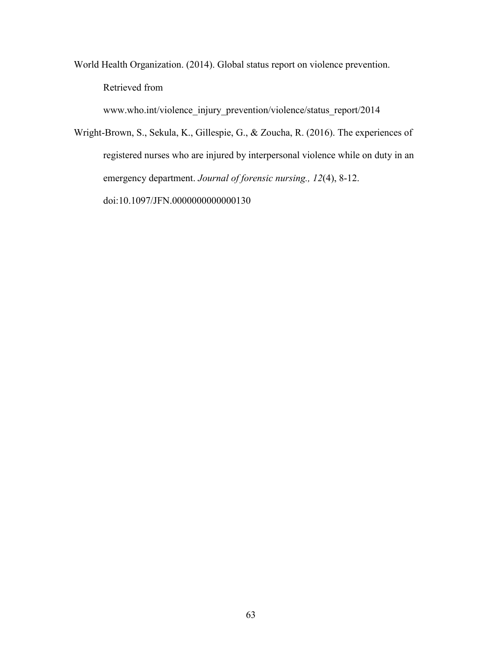World Health Organization. (2014). Global status report on violence prevention. Retrieved from

www.who.int/violence\_injury\_prevention/violence/status\_report/2014

Wright-Brown, S., Sekula, K., Gillespie, G., & Zoucha, R. (2016). The experiences of registered nurses who are injured by interpersonal violence while on duty in an emergency department. *Journal of forensic nursing., 12*(4), 8-12. doi:10.1097/JFN.0000000000000130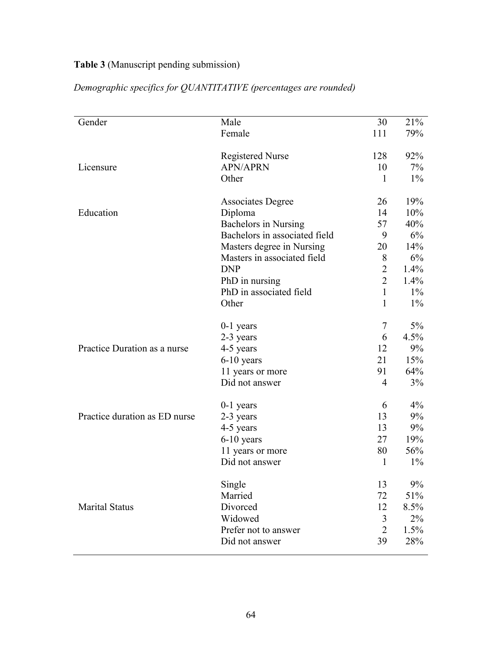## **Table 3** (Manuscript pending submission)

| Gender                        | Male                          | 30             | 21%   |
|-------------------------------|-------------------------------|----------------|-------|
|                               | Female                        | 111            | 79%   |
|                               | <b>Registered Nurse</b>       | 128            | 92%   |
| Licensure                     | <b>APN/APRN</b>               | 10             | 7%    |
|                               | Other                         | $\mathbf{1}$   | $1\%$ |
|                               | <b>Associates Degree</b>      | 26             | 19%   |
| Education                     | Diploma                       | 14             | 10%   |
|                               | <b>Bachelors in Nursing</b>   | 57             | 40%   |
|                               | Bachelors in associated field | 9              | 6%    |
|                               | Masters degree in Nursing     | 20             | 14%   |
|                               | Masters in associated field   | 8              | 6%    |
|                               | <b>DNP</b>                    | $\overline{2}$ | 1.4%  |
|                               | PhD in nursing                | $\overline{2}$ | 1.4%  |
|                               | PhD in associated field       | $\mathbf{1}$   | $1\%$ |
|                               | Other                         | 1              | $1\%$ |
|                               | $0-1$ years                   | $\tau$         | 5%    |
|                               | 2-3 years                     | 6              | 4.5%  |
| Practice Duration as a nurse  | 4-5 years                     | 12             | 9%    |
|                               | $6-10$ years                  | 21             | 15%   |
|                               | 11 years or more              | 91             | 64%   |
|                               | Did not answer                | $\overline{4}$ | 3%    |
|                               | $0-1$ years                   | 6              | $4\%$ |
| Practice duration as ED nurse | 2-3 years                     | 13             | 9%    |
|                               | 4-5 years                     | 13             | 9%    |
|                               | $6-10$ years                  | 27             | 19%   |
|                               | 11 years or more              | 80             | 56%   |
|                               | Did not answer                | $\mathbf{1}$   | $1\%$ |
|                               | Single                        | 13             | 9%    |
|                               | Married                       | 72             | 51%   |
| <b>Marital Status</b>         | Divorced                      | 12             | 8.5%  |
|                               | Widowed                       | 3              | $2\%$ |
|                               | Prefer not to answer          | $\overline{2}$ | 1.5%  |
|                               | Did not answer                | 39             | 28%   |

*Demographic specifics for QUANTITATIVE (percentages are rounded)*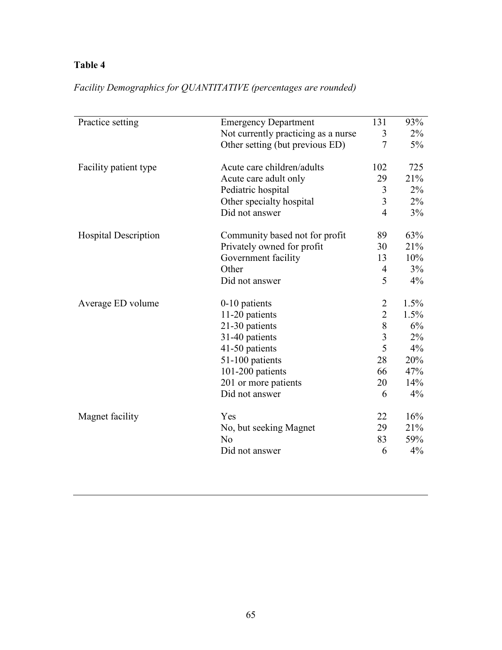## **Table 4**

| Practice setting<br><b>Emergency Department</b> |                                     | 131            | 93%     |
|-------------------------------------------------|-------------------------------------|----------------|---------|
|                                                 | Not currently practicing as a nurse | 3              | $2\%$   |
|                                                 | Other setting (but previous ED)     | $\overline{7}$ | $5\%$   |
| Facility patient type                           | Acute care children/adults          | 102            | 725     |
|                                                 | Acute care adult only               | 29             | 21%     |
|                                                 | Pediatric hospital                  | 3              | $2\%$   |
|                                                 | Other specialty hospital            | 3              | $2\%$   |
|                                                 | Did not answer                      | $\overline{4}$ | $3\%$   |
| <b>Hospital Description</b>                     | Community based not for profit      | 89             | 63%     |
|                                                 | Privately owned for profit          | 30             | 21%     |
|                                                 | Government facility                 | 13             | 10%     |
|                                                 | Other                               | 4              | $3\%$   |
|                                                 | Did not answer                      | 5              | 4%      |
| Average ED volume                               | $0-10$ patients                     | 2              | $1.5\%$ |
|                                                 | 11-20 patients                      | $\overline{2}$ | $1.5\%$ |
|                                                 | 21-30 patients                      | 8              | 6%      |
|                                                 | 31-40 patients                      | 3              | $2\%$   |
|                                                 | 41-50 patients                      | 5              | 4%      |
|                                                 | 51-100 patients                     | 28             | 20%     |
|                                                 | 101-200 patients                    | 66             | 47%     |
|                                                 | 201 or more patients                | 20             | 14%     |
|                                                 | Did not answer                      | 6              | 4%      |
| Magnet facility                                 | Yes                                 | 22             | 16%     |
|                                                 | No, but seeking Magnet              | 29             | 21%     |
|                                                 | N <sub>o</sub>                      | 83             | 59%     |
|                                                 | Did not answer                      | 6              | 4%      |

*Facility Demographics for QUANTITATIVE (percentages are rounded)*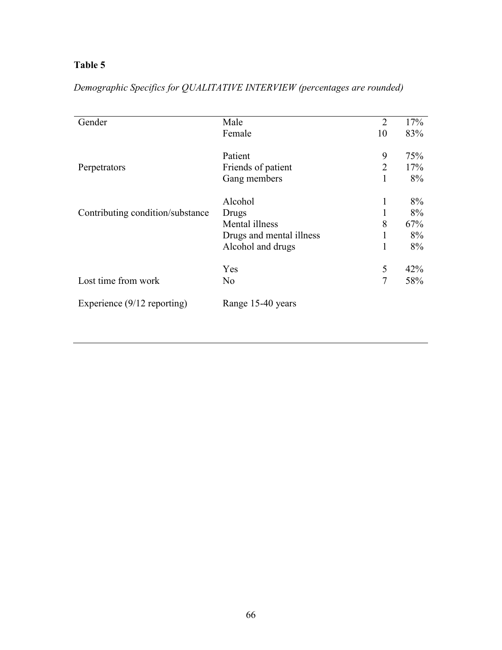## **Table 5**

| Gender                           | Male                     | $\overline{2}$ | 17% |
|----------------------------------|--------------------------|----------------|-----|
|                                  | Female                   | 10             | 83% |
|                                  | Patient                  | 9              | 75% |
| Perpetrators                     | Friends of patient       | $\overline{2}$ | 17% |
|                                  | Gang members             | 1              | 8%  |
|                                  | Alcohol                  | 1              | 8%  |
| Contributing condition/substance | Drugs                    |                | 8%  |
|                                  | Mental illness           | 8              | 67% |
|                                  | Drugs and mental illness |                | 8%  |
|                                  | Alcohol and drugs        | 1              | 8%  |
|                                  | Yes                      | 5              | 42% |
| Lost time from work              | N <sub>o</sub>           | $\overline{7}$ | 58% |
| Experience $(9/12$ reporting)    | Range 15-40 years        |                |     |

# *Demographic Specifics for QUALITATIVE INTERVIEW (percentages are rounded)*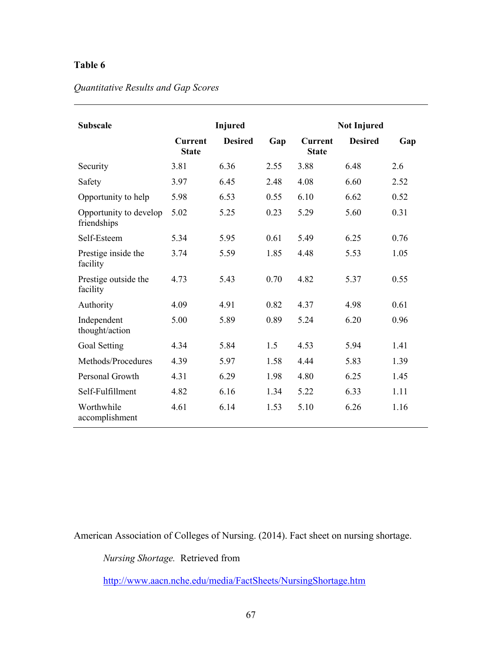### **Table 6**

#### *Quantitative Results and Gap Scores*

| <b>Subscale</b>                       | <b>Injured</b>                 |                |      | <b>Not Injured</b>             |                |      |
|---------------------------------------|--------------------------------|----------------|------|--------------------------------|----------------|------|
|                                       | <b>Current</b><br><b>State</b> | <b>Desired</b> | Gap  | <b>Current</b><br><b>State</b> | <b>Desired</b> | Gap  |
| Security                              | 3.81                           | 6.36           | 2.55 | 3.88                           | 6.48           | 2.6  |
| Safety                                | 3.97                           | 6.45           | 2.48 | 4.08                           | 6.60           | 2.52 |
| Opportunity to help                   | 5.98                           | 6.53           | 0.55 | 6.10                           | 6.62           | 0.52 |
| Opportunity to develop<br>friendships | 5.02                           | 5.25           | 0.23 | 5.29                           | 5.60           | 0.31 |
| Self-Esteem                           | 5.34                           | 5.95           | 0.61 | 5.49                           | 6.25           | 0.76 |
| Prestige inside the<br>facility       | 3.74                           | 5.59           | 1.85 | 4.48                           | 5.53           | 1.05 |
| Prestige outside the<br>facility      | 4.73                           | 5.43           | 0.70 | 4.82                           | 5.37           | 0.55 |
| Authority                             | 4.09                           | 4.91           | 0.82 | 4.37                           | 4.98           | 0.61 |
| Independent<br>thought/action         | 5.00                           | 5.89           | 0.89 | 5.24                           | 6.20           | 0.96 |
| Goal Setting                          | 4.34                           | 5.84           | 1.5  | 4.53                           | 5.94           | 1.41 |
| Methods/Procedures                    | 4.39                           | 5.97           | 1.58 | 4.44                           | 5.83           | 1.39 |
| Personal Growth                       | 4.31                           | 6.29           | 1.98 | 4.80                           | 6.25           | 1.45 |
| Self-Fulfillment                      | 4.82                           | 6.16           | 1.34 | 5.22                           | 6.33           | 1.11 |
| Worthwhile<br>accomplishment          | 4.61                           | 6.14           | 1.53 | 5.10                           | 6.26           | 1.16 |

American Association of Colleges of Nursing. (2014). Fact sheet on nursing shortage.

*Nursing Shortage.* Retrieved from

<http://www.aacn.nche.edu/media/FactSheets/NursingShortage.htm>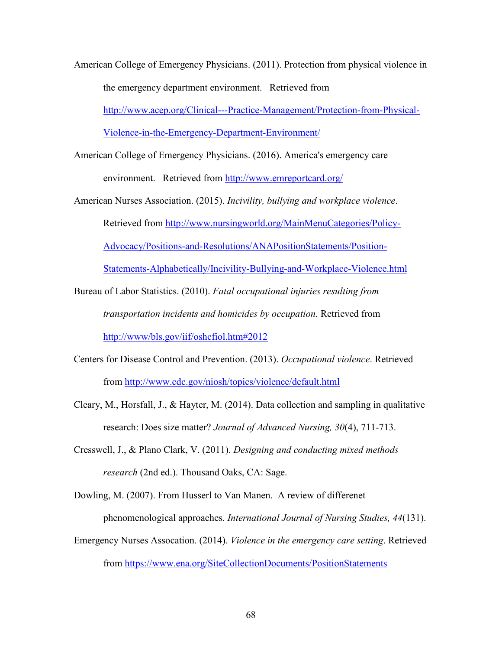American College of Emergency Physicians. (2011). Protection from physical violence in the emergency department environment. Retrieved from [http://www.acep.org/Clinical---Practice-Management/Protection-from-Physical-](http://www.acep.org/Clinical---Practice-Management/Protection-from-Physical-Violence-in-the-Emergency-Department-Environment/)

[Violence-in-the-Emergency-Department-Environment/](http://www.acep.org/Clinical---Practice-Management/Protection-from-Physical-Violence-in-the-Emergency-Department-Environment/)

- American College of Emergency Physicians. (2016). America's emergency care environment. Retrieved from<http://www.emreportcard.org/>
- American Nurses Association. (2015). *Incivility, bullying and workplace violence*. Retrieved from [http://www.nursingworld.org/MainMenuCategories/Policy-](http://www.nursingworld.org/MainMenuCategories/Policy-Advocacy/Positions-and-Resolutions/ANAPositionStatements/Position-Statements-Alphabetically/Incivility-Bullying-and-Workplace-Violence.html)[Advocacy/Positions-and-Resolutions/ANAPositionStatements/Position-](http://www.nursingworld.org/MainMenuCategories/Policy-Advocacy/Positions-and-Resolutions/ANAPositionStatements/Position-Statements-Alphabetically/Incivility-Bullying-and-Workplace-Violence.html)[Statements-Alphabetically/Incivility-Bullying-and-Workplace-Violence.html](http://www.nursingworld.org/MainMenuCategories/Policy-Advocacy/Positions-and-Resolutions/ANAPositionStatements/Position-Statements-Alphabetically/Incivility-Bullying-and-Workplace-Violence.html)
- Bureau of Labor Statistics. (2010). *Fatal occupational injuries resulting from transportation incidents and homicides by occupation.* Retrieved from <http://www/bls.gov/iif/oshcfiol.htm#2012>
- Centers for Disease Control and Prevention. (2013). *Occupational violence*. Retrieved from<http://www.cdc.gov/niosh/topics/violence/default.html>
- Cleary, M., Horsfall, J., & Hayter, M. (2014). Data collection and sampling in qualitative research: Does size matter? *Journal of Advanced Nursing, 30*(4), 711-713.
- Cresswell, J., & Plano Clark, V. (2011). *Designing and conducting mixed methods research* (2nd ed.). Thousand Oaks, CA: Sage.

Dowling, M. (2007). From Husserl to Van Manen. A review of differenet phenomenological approaches. *International Journal of Nursing Studies, 44*(131).

Emergency Nurses Assocation. (2014). *Violence in the emergency care setting*. Retrieved from<https://www.ena.org/SiteCollectionDocuments/PositionStatements>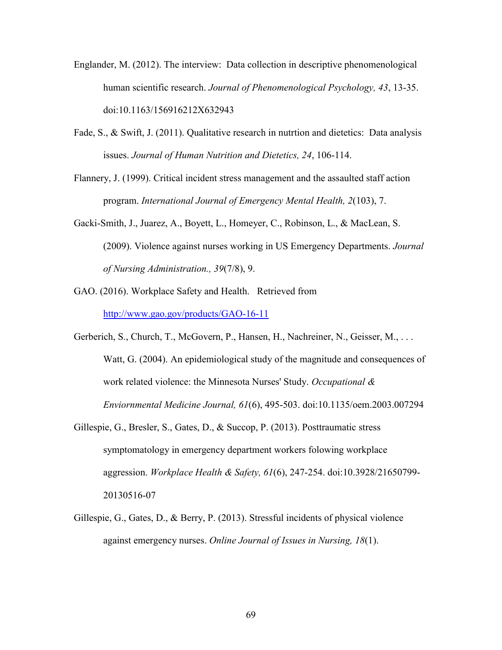- Englander, M. (2012). The interview: Data collection in descriptive phenomenological human scientific research. *Journal of Phenomenological Psychology, 43*, 13-35. doi:10.1163/156916212X632943
- Fade, S., & Swift, J. (2011). Qualitative research in nutrtion and dietetics: Data analysis issues. *Journal of Human Nutrition and Dietetics, 24*, 106-114.
- Flannery, J. (1999). Critical incident stress management and the assaulted staff action program. *International Journal of Emergency Mental Health, 2*(103), 7.
- Gacki-Smith, J., Juarez, A., Boyett, L., Homeyer, C., Robinson, L., & MacLean, S. (2009). Violence against nurses working in US Emergency Departments. *Journal of Nursing Administration., 39*(7/8), 9.
- GAO. (2016). Workplace Safety and Health. Retrieved from <http://www.gao.gov/products/GAO-16-11>
- Gerberich, S., Church, T., McGovern, P., Hansen, H., Nachreiner, N., Geisser, M., ... Watt, G. (2004). An epidemiological study of the magnitude and consequences of work related violence: the Minnesota Nurses' Study. *Occupational & Enviornmental Medicine Journal, 61*(6), 495-503. doi:10.1135/oem.2003.007294
- Gillespie, G., Bresler, S., Gates, D., & Succop, P. (2013). Posttraumatic stress symptomatology in emergency department workers folowing workplace aggression. *Workplace Health & Safety, 61*(6), 247-254. doi:10.3928/21650799- 20130516-07
- Gillespie, G., Gates, D., & Berry, P. (2013). Stressful incidents of physical violence against emergency nurses. *Online Journal of Issues in Nursing, 18*(1).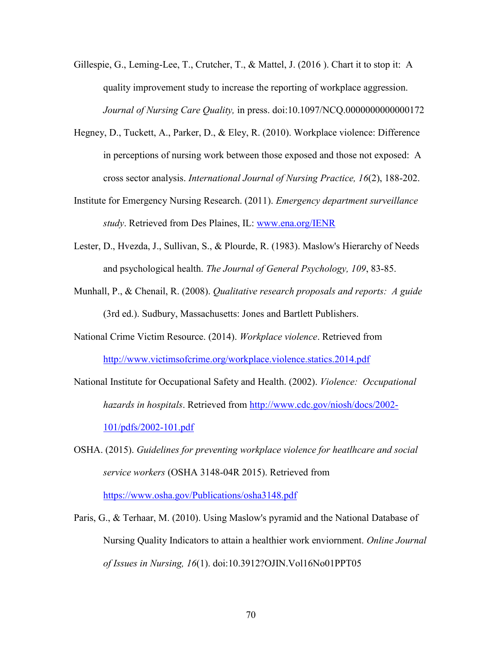- Gillespie, G., Leming-Lee, T., Crutcher, T., & Mattel, J. (2016 ). Chart it to stop it: A quality improvement study to increase the reporting of workplace aggression. *Journal of Nursing Care Quality,* in press. doi:10.1097/NCQ.0000000000000172
- Hegney, D., Tuckett, A., Parker, D., & Eley, R. (2010). Workplace violence: Difference in perceptions of nursing work between those exposed and those not exposed: A cross sector analysis. *International Journal of Nursing Practice, 16*(2), 188-202.
- Institute for Emergency Nursing Research. (2011). *Emergency department surveillance study*. Retrieved from Des Plaines, IL: [www.ena.org/IENR](http://www.ena.org/IENR)
- Lester, D., Hvezda, J., Sullivan, S., & Plourde, R. (1983). Maslow's Hierarchy of Needs and psychological health. *The Journal of General Psychology, 109*, 83-85.
- Munhall, P., & Chenail, R. (2008). *Qualitative research proposals and reports: A guide* (3rd ed.). Sudbury, Massachusetts: Jones and Bartlett Publishers.
- National Crime Victim Resource. (2014). *Workplace violence*. Retrieved from <http://www.victimsofcrime.org/workplace.violence.statics.2014.pdf>
- National Institute for Occupational Safety and Health. (2002). *Violence: Occupational hazards in hospitals*. Retrieved from [http://www.cdc.gov/niosh/docs/2002-](http://www.cdc.gov/niosh/docs/2002-101/pdfs/2002-101.pdf) [101/pdfs/2002-101.pdf](http://www.cdc.gov/niosh/docs/2002-101/pdfs/2002-101.pdf)
- OSHA. (2015). *Guidelines for preventing workplace violence for heatlhcare and social service workers* (OSHA 3148-04R 2015). Retrieved from <https://www.osha.gov/Publications/osha3148.pdf>
- Paris, G., & Terhaar, M. (2010). Using Maslow's pyramid and the National Database of Nursing Quality Indicators to attain a healthier work enviornment. *Online Journal of Issues in Nursing, 16*(1). doi:10.3912?OJIN.Vol16No01PPT05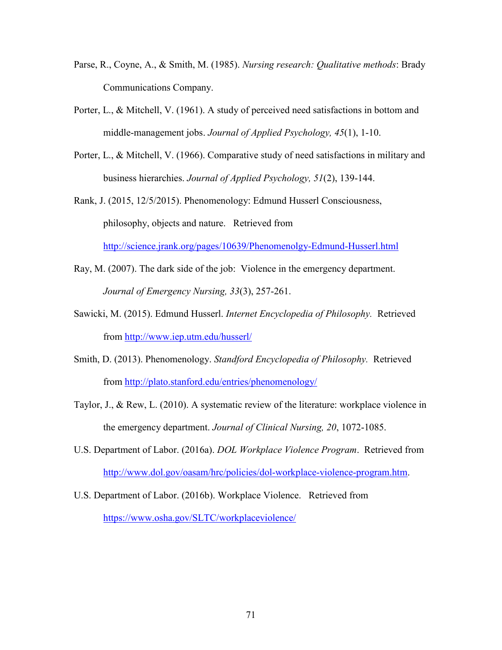- Parse, R., Coyne, A., & Smith, M. (1985). *Nursing research: Qualitative methods*: Brady Communications Company.
- Porter, L., & Mitchell, V. (1961). A study of perceived need satisfactions in bottom and middle-management jobs. *Journal of Applied Psychology, 45*(1), 1-10.
- Porter, L., & Mitchell, V. (1966). Comparative study of need satisfactions in military and business hierarchies. *Journal of Applied Psychology, 51*(2), 139-144.
- Rank, J. (2015, 12/5/2015). Phenomenology: Edmund Husserl Consciousness, philosophy, objects and nature. Retrieved from

<http://science.jrank.org/pages/10639/Phenomenolgy-Edmund-Husserl.html>

- Ray, M. (2007). The dark side of the job: Violence in the emergency department. *Journal of Emergency Nursing, 33*(3), 257-261.
- Sawicki, M. (2015). Edmund Husserl. *Internet Encyclopedia of Philosophy.* Retrieved from<http://www.iep.utm.edu/husserl/>
- Smith, D. (2013). Phenomenology. *Standford Encyclopedia of Philosophy.* Retrieved from<http://plato.stanford.edu/entries/phenomenology/>
- Taylor, J., & Rew, L. (2010). A systematic review of the literature: workplace violence in the emergency department. *Journal of Clinical Nursing, 20*, 1072-1085.
- U.S. Department of Labor. (2016a). *DOL Workplace Violence Program*. Retrieved from [http://www.dol.gov/oasam/hrc/policies/dol-workplace-violence-program.htm.](http://www.dol.gov/oasam/hrc/policies/dol-workplace-violence-program.htm)
- U.S. Department of Labor. (2016b). Workplace Violence. Retrieved from <https://www.osha.gov/SLTC/workplaceviolence/>